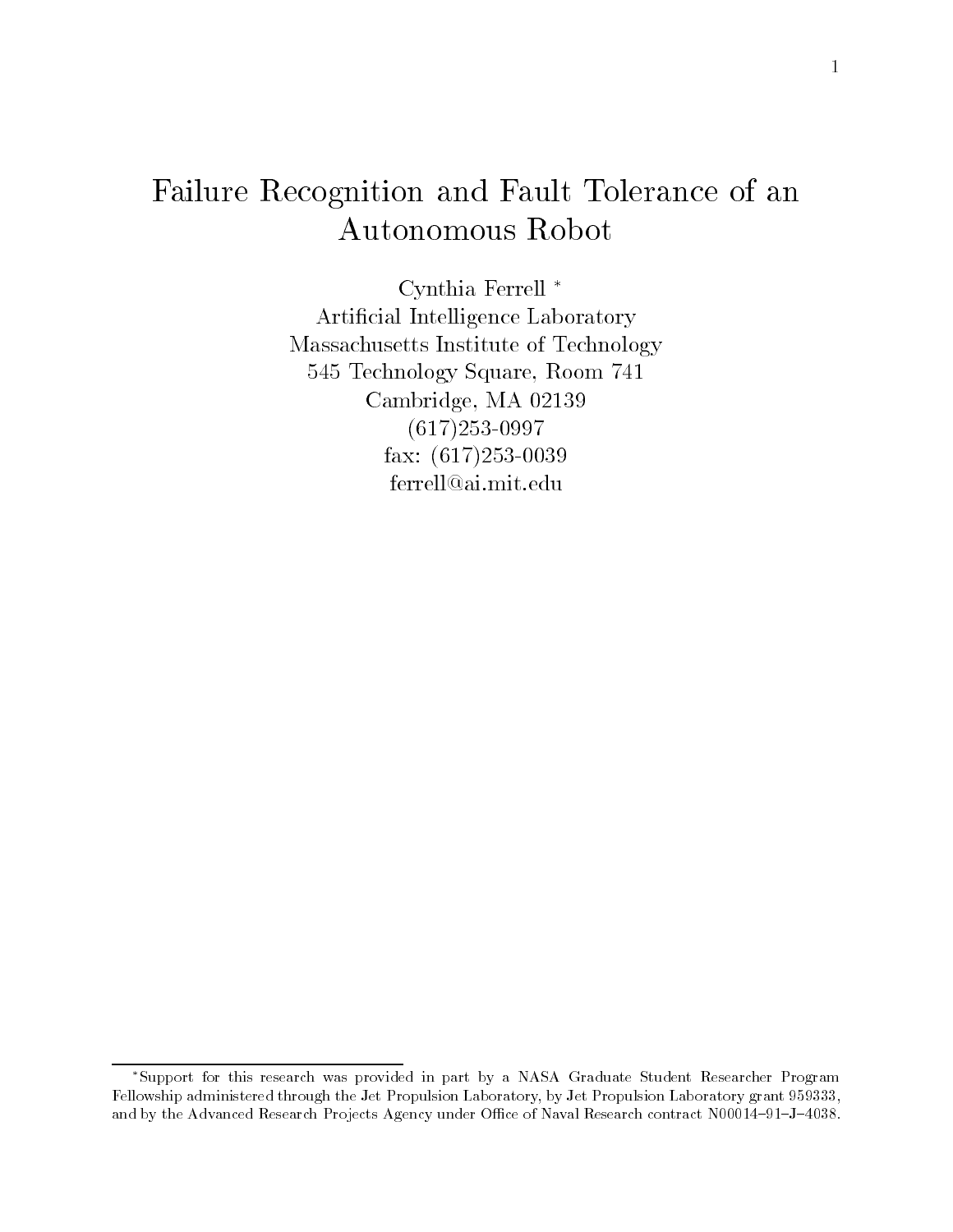# Failure Recognition and Fault Tolerance of an Autonomous Robot

Cynthia Ferrell Artificial Intelligence Laboratory Massachusetts Institute of Technology -- Technology Square Room Cambridge, MA 02139 
- ----- , - - . , - - . . . . . ferrell@ai.mit.edu

Support for this research was provided in part by a NASA Graduate Student Researcher Program Fellowship administered through the Jet Propulsion Laboratory by Jet Propulsion Laboratory grant - and by the Advanced Research Projects Agency under Oce of Naval Research contract N - J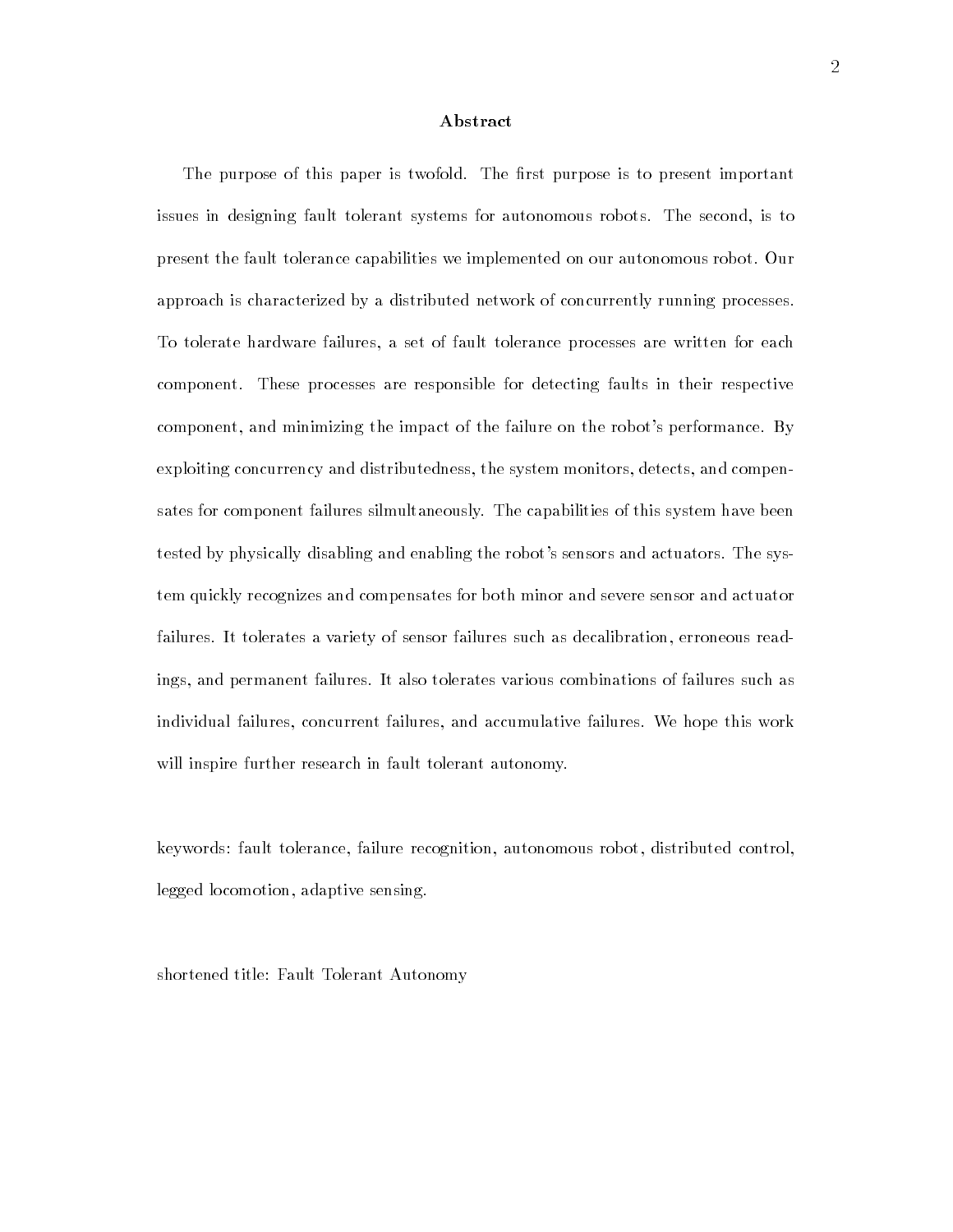### Abstract

The purpose of this paper is twofold The -rst purpose is to present important issues in designing fault tolerant systems for autonomous robots. The second, is to present the fault tolerance capabilities we implemented on our autonomous robot Our approach is characterized by a distributed network of concurrently running processes To tolerate hardware failures, a set of fault tolerance processes are written for each component. These processes are responsible for detecting faults in their respective component, and minimizing the impact of the failure on the robot's performance. By exploiting concurrency and distributedness, the system monitors, detects, and compensates for component failures silmultaneously The capabilities of this system have been tested by physically disabling and enabling the robot's sensors and actuators. The system quickly recognizes and compensates for both minor and severe sensor and actuator failures. It tolerates a variety of sensor failures such as decalibration, erroneous readings, and permanent failures. It also tolerates various combinations of failures such as individual failures, concurrent failures, and accumulative failures. We hope this work will inspire further research in fault tolerant autonomy.

keywords: fault tolerance, failure recognition, autonomous robot, distributed control, legged locomotion, adaptive sensing.

shortened title: Fault Tolerant Autonomy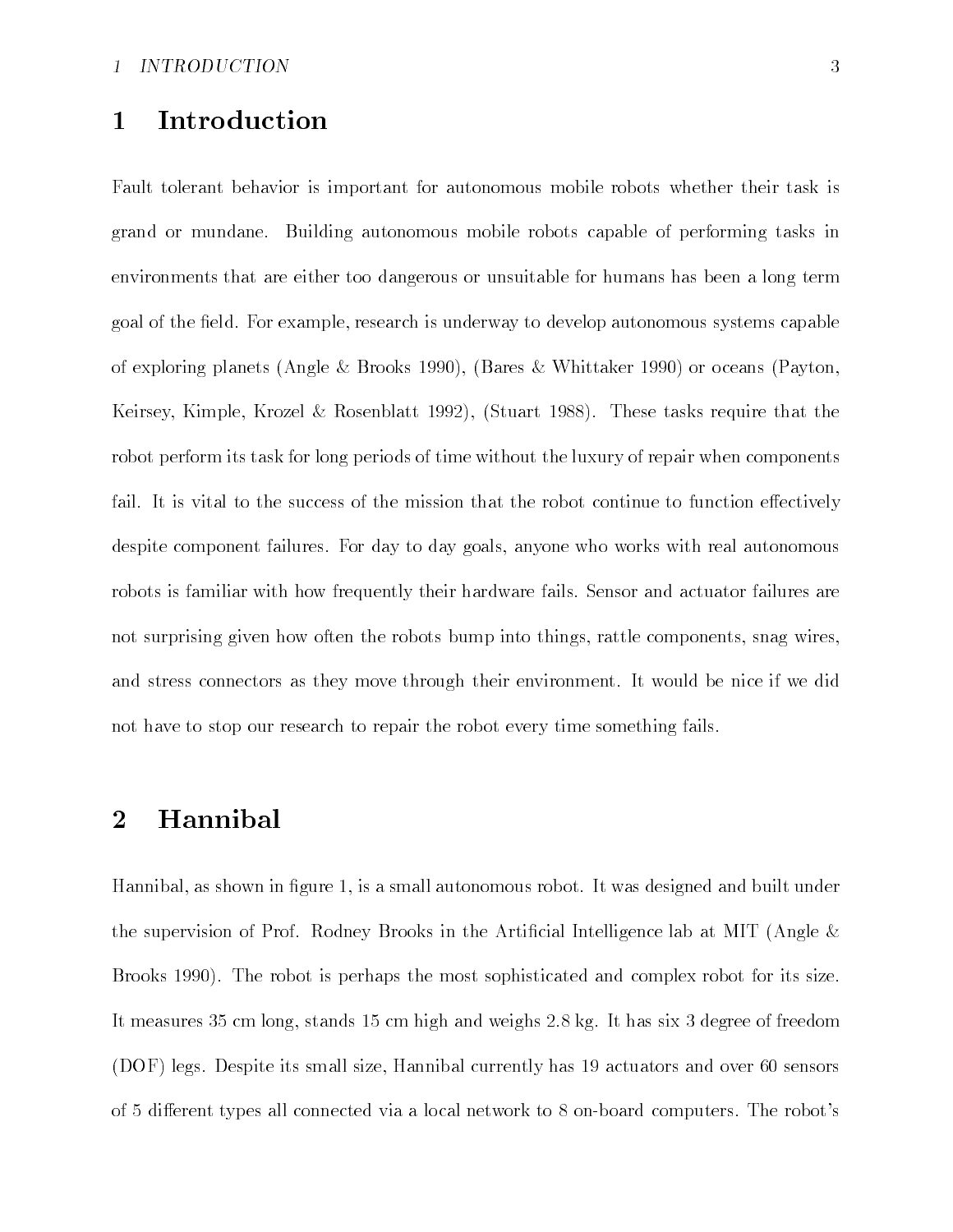#### Introduction  $\mathbf{1}$

Fault tolerant behavior is important for autonomous mobile robots whether their task is grand or mundane. Building autonomous mobile robots capable of performing tasks in environments that are either too dangerous or unsuitable for humans has been a long term goal of the field. For example, research is underway to develop autonomous systems capable of exploring planets (fingle in mitchell its (miles in angles in the state of the state  $\mathcal{A}$ Keirsey Kimple Krozel Rosenblatt - Stuart  These tasks require that the robot perform its task for long periods of time without the luxury of repair when components fail. It is vital to the success of the mission that the robot continue to function effectively despite component failures. For day to day goals, anyone who works with real autonomous robots is familiar with how frequently their hardware fails Sensor and actuator failures are not surprising given how often the robots bump into things, rattle components, snag wires, and stress connectors as they move through their environment It would be nice if we did not have to stop our research to repair the robot every time something fails

#### Hannibal  $\overline{2}$

Hannibal, as shown in figure 1, is a small autonomous robot. It was designed and built under the supervision of Prof. Rodney Brooks in the Artificial Intelligence lab at MIT (Angle  $\&$  $\mathbf I$  , the robot is perhaps the most sophisticated and complex robot for its size  $\mathbf I$  $\mathcal{W}$  and we ight and weights -  $\mathcal{W}$  -  $\mathcal{W}$  -  $\mathcal{W}$  -  $\mathcal{W}$  -  $\mathcal{W}$ , a correspondence in size and over the size  $\alpha$  current currently density and over the correspondence of  $\alpha$ of 5 different types all connected via a local network to 8 on-board computers. The robot's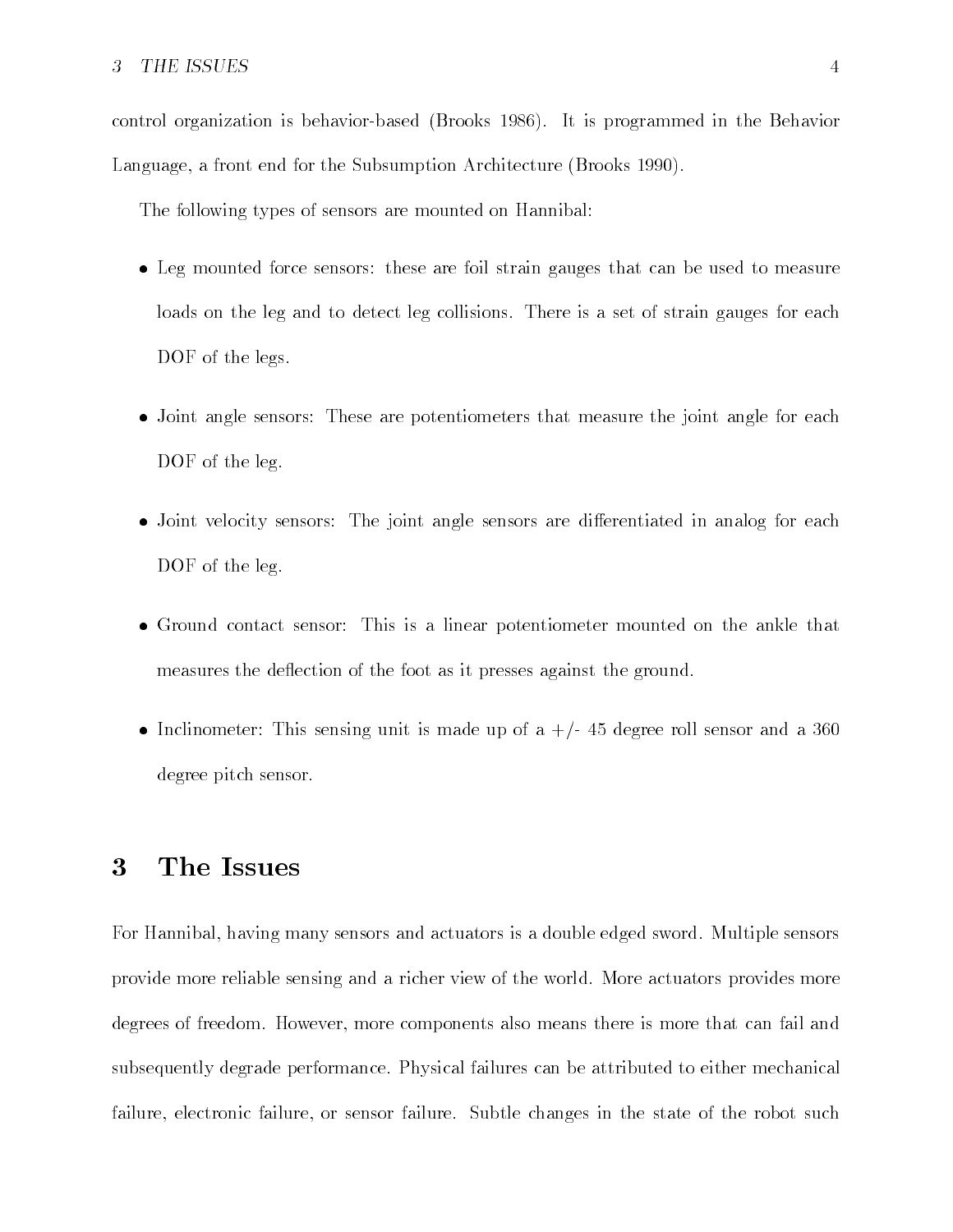### 3

control organization is behavior-based (Brooks 1986). It is programmed in the Behavior Language a front end for the Subsumption Architecture Brooks 

The following types of sensors are mounted on Hannibal

- Leg mounted force sensors these are foil strain gauges that can be used to measure loads on the leg and to detect leg collisions. There is a set of strain gauges for each DOF of the legs.
- Joint angle sensors These are potentiometers that measure the joint angle for each DOF of the leg.
- Joint velocity sensors The joint angle sensors are di
erentiated in analog for each DOF of the leg.
- Ground contact sensor This is a linear potentiometer mounted on the ankle that measures the deflection of the foot as it presses against the ground.
- Inclinometer This sensing unit is made up of a degree roll sensor and a degree pitch sensor

## The Issues

For Hannibal, having many sensors and actuators is a double edged sword. Multiple sensors provide more reliable sensing and a richer view of the world. More actuators provides more degrees of freedom. However, more components also means there is more that can fail and subsequently degrade performance Physical failures can be attributed to either mechanical failure, electronic failure, or sensor failure. Subtle changes in the state of the robot such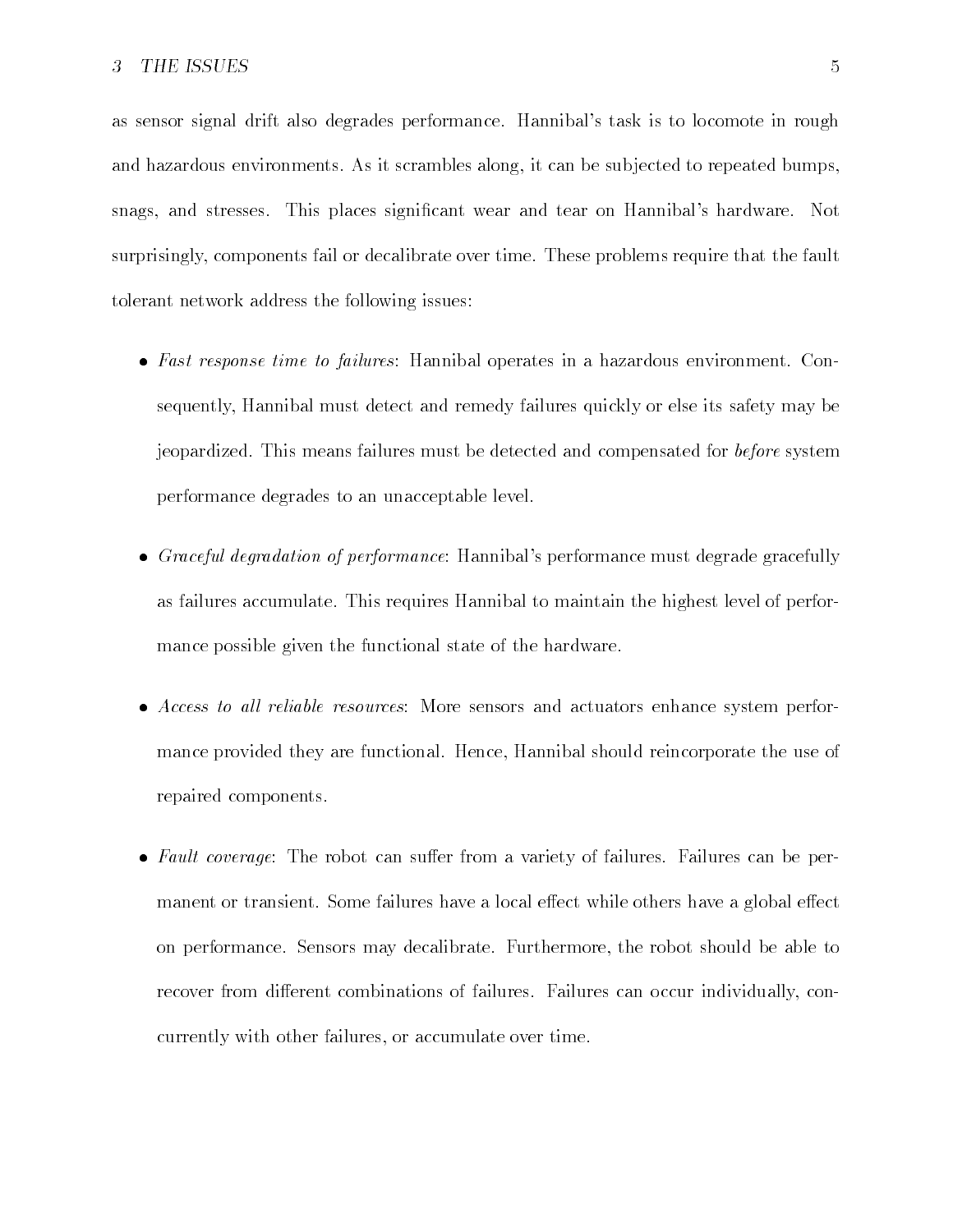as sensor signal drift also degrades performance. Hannibal's task is to locomote in rough and hazardous environments. As it scrambles along, it can be subjected to repeated bumps, snags, and stresses. This places significant wear and tear on Hannibal's hardware. Not surprisingly, components fail or decalibrate over time. These problems require that the fault tolerant network address the following issues

- Fast response time to failures Hannibal operates in a hazardous environment Con sequently Hannibal must detect and remedy failures quickly or else its safety may be jeopardized. This means failures must be detected and compensated for *before* system performance degrades to an unacceptable level
- Graceful degradation of performance Hannibals performance must degrade gracefully as failures accumulate. This requires Hannibal to maintain the highest level of performance possible given the functional state of the hardware
- Access to al l reliable resources More sensors and actuators enhance system perfor mance provided they are functional. Hence, Hannibal should reincorporate the use of repaired components
- Fault coverage The robot can su
er from a variety of failures Failures can be per manent or transient. Some failures have a local effect while others have a global effect on performance. Sensors may decalibrate. Furthermore, the robot should be able to recover from different combinations of failures. Failures can occur individually, concurrently with other failures, or accumulate over time.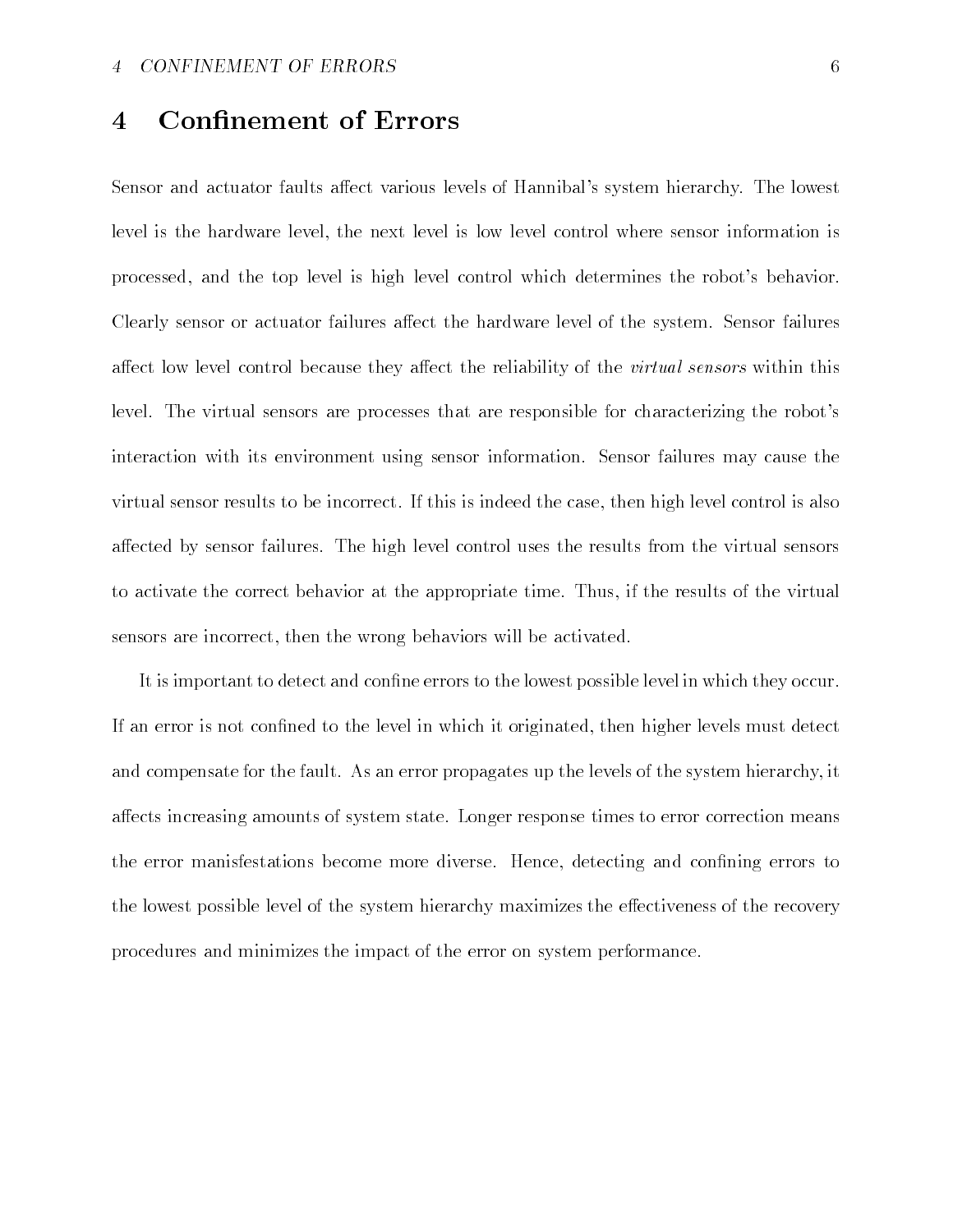#### **Confinement of Errors**  $\overline{\mathcal{A}}$

Sensor and actuator faults affect various levels of Hannibal's system hierarchy. The lowest level is the hardware level, the next level is low level control where sensor information is processed, and the top level is high level control which determines the robot's behavior. Clearly sensor or actuator failures affect the hardware level of the system. Sensor failures affect low level control because they affect the reliability of the *virtual sensors* within this level. The virtual sensors are processes that are responsible for characterizing the robot's interaction with its environment using sensor information Sensor failures may cause the virtual sensor results to be incorrect If this is indeed the case then high level control is also a
ected by sensor failures The high level control uses the results from the virtual sensors to activate the correct behavior at the appropriate time Thus if the results of the virtual sensors are incorrect, then the wrong behaviors will be activated.

It is important to detect and confine errors to the lowest possible level in which they occur. If an error is not confined to the level in which it originated, then higher levels must detect and compensate for the fault. As an error propagates up the levels of the system hierarchy, it a
ects increasing amounts of system state Longer response times to error correction means the error manisfestations become more diverse. Hence, detecting and confining errors to the lowest possible level of the system hierarchy maximizes the effectiveness of the recovery procedures and minimizes the impact of the error on system performance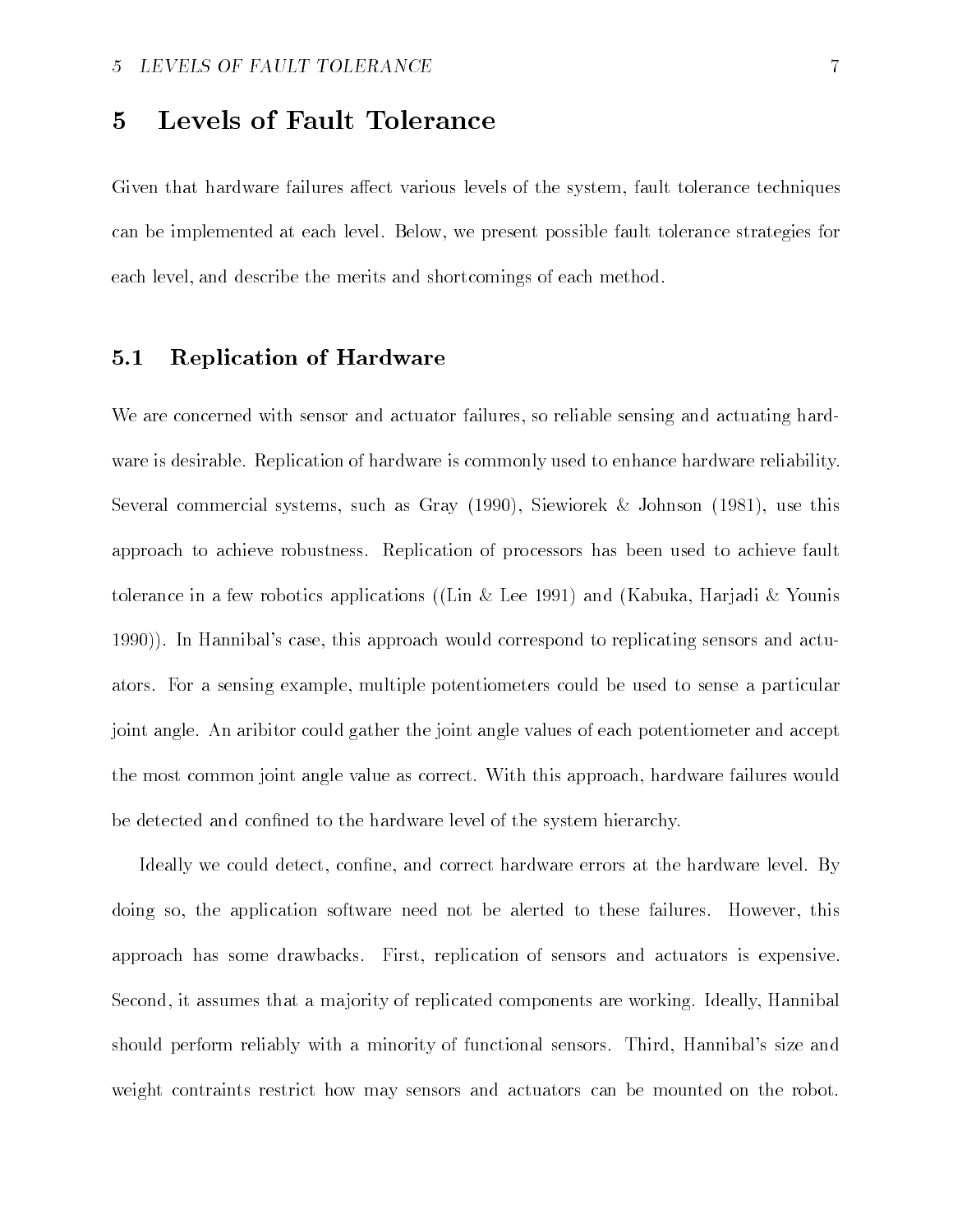#### Levels of Fault Tolerance  $\overline{5}$

Given that hardware failures affect various levels of the system, fault tolerance techniques can be implemented at each level. Below, we present possible fault tolerance strategies for each level, and describe the merits and shortcomings of each method.

#### -Replication of Hardware

We are concerned with sensor and actuator failures, so reliable sensing and actuating hardware is desirable. Replication of hardware is commonly used to enhance hardware reliability. several commercial systems such as Gray (Allen in Section of Section (Allen ), which were the approach to achieve robustness. Replication of processors has been used to achieve fault tolerance in a few robotics applications ((Lin & Lee 1991) and (Kabuka, Harjadi & Younis In Hannibals case this approach would correspond to replicating sensors and actu ators. For a sensing example, multiple potentiometers could be used to sense a particular joint angle An aribitor could gather the joint angle values of each potentiometer and accept the most common joint angle value as correct With this approach hardware failures would be detected and confined to the hardware level of the system hierarchy.

Ideally we could detect, confine, and correct hardware errors at the hardware level. By doing so, the application software need not be alerted to these failures. However, this approach has some drawbacks. First, replication of sensors and actuators is expensive. Second, it assumes that a majority of replicated components are working. Ideally, Hannibal should perform reliably with a minority of functional sensors. Third, Hannibal's size and weight contraints restrict how may sensors and actuators can be mounted on the robot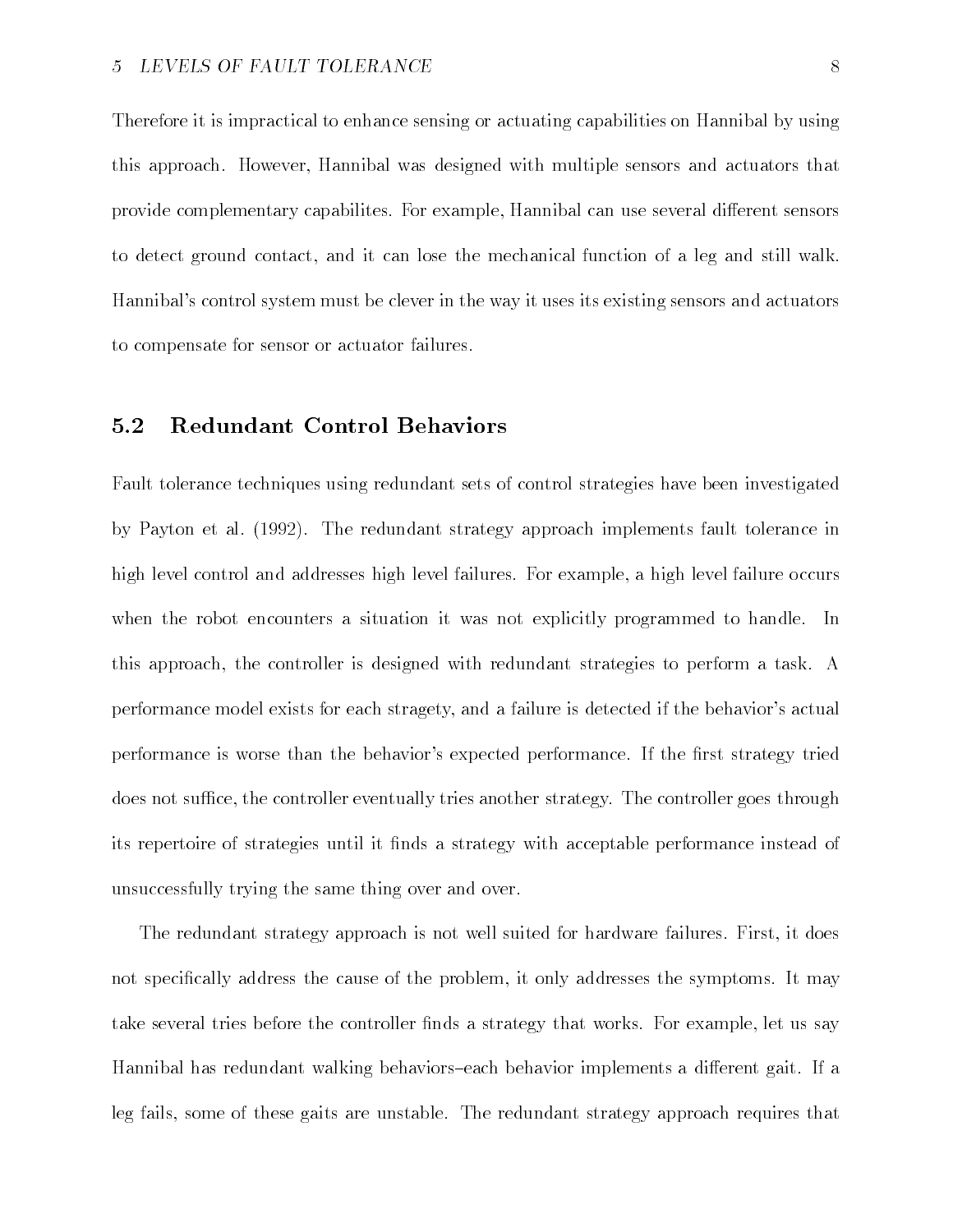Therefore it is impractical to enhance sensing or actuating capabilities on Hannibal by using this approach. However, Hannibal was designed with multiple sensors and actuators that provide complementary capabilites For example Hannibal can use several di
erent sensors to detect ground contact, and it can lose the mechanical function of a leg and still walk. Hannibal's control system must be clever in the way it uses its existing sensors and actuators to compensate for sensor or actuator failures

#### -Redundant Control Behaviors

Fault tolerance techniques using redundant sets of control strategies have been investigated by Payton et al - The redundant strategy approach implements fault tolerance in high level control and addresses high level failures. For example, a high level failure occurs when the robot encounters a situation it was not explicitly programmed to handle.  $\ln$ this approach the controller is designed with redundant strategies to perform a task A performance model exists for each stragety, and a failure is detected if the behavior's actual performance is worse than the behavior's expected performance. If the first strategy tried does not suffice, the controller eventually tries another strategy. The controller goes through its repertoire of strategies until it finds a strategy with acceptable performance instead of unsuccessfully trying the same thing over and over

The redundant strategy approach is not well suited for hardware failures. First, it does not specifically address the cause of the problem, it only addresses the symptoms. It may take several tries before the controller finds a strategy that works. For example, let us say Hannibal has redundant walking behaviors-each behavior implements a different gait. If a leg fails some of these gaits are unstable The redundant strategy approach requires that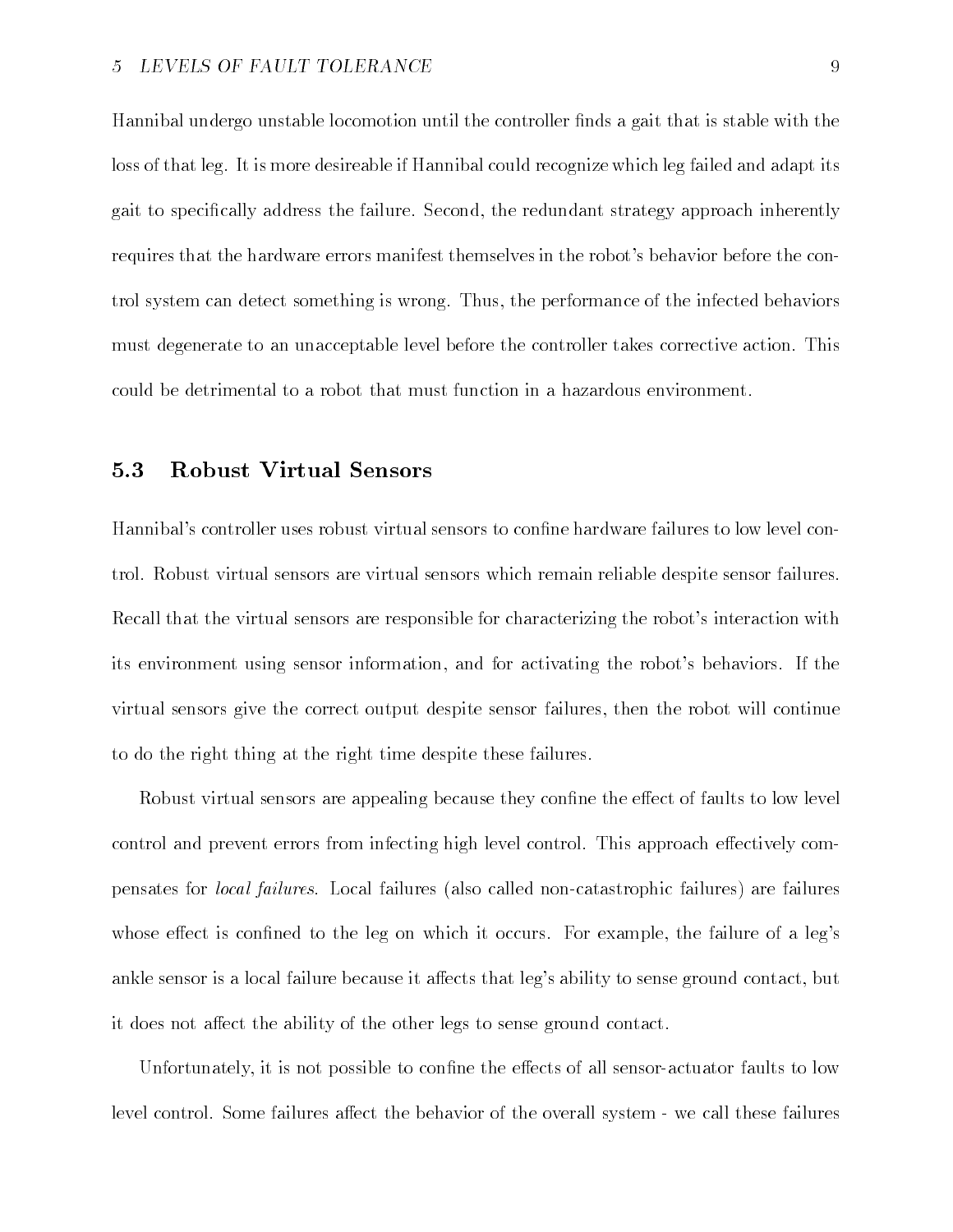Hannibal undergo unstable locomotion until the controller finds a gait that is stable with the loss of that leg. It is more desireable if Hannibal could recognize which leg failed and adapt its gait to specifically address the failure. Second, the redundant strategy approach inherently requires that the hardware errors manifest themselves in the robot's behavior before the control system can detect something is wrong. Thus, the performance of the infected behaviors must degenerate to an unacceptable level before the controller takes corrective action This could be detrimental to a robot that must function in a hazardous environment

#### -Robust Virtual Sensors

Hannibal's controller uses robust virtual sensors to confine hardware failures to low level control Robust virtual sensors are virtual sensors which remain reliable despite sensor failures Recall that the virtual sensors are responsible for characterizing the robot's interaction with its environment using sensor information, and for activating the robot's behaviors. If the virtual sensors give the correct output despite sensor failures then the robot will continue to do the right thing at the right time despite these failures

Robust virtual sensors are appealing because they confine the effect of faults to low level control and prevent errors from infecting high level control. This approach effectively compensates for *local failures*. Local failures (also called non-catastrophic failures) are failures whose effect is confined to the leg on which it occurs. For example, the failure of a leg's ankle sensor is a local failure because it affects that leg's ability to sense ground contact, but it does not affect the ability of the other legs to sense ground contact.

Unfortunately, it is not possible to confine the effects of all sensor-actuator faults to low level control. Some failures affect the behavior of the overall system - we call these failures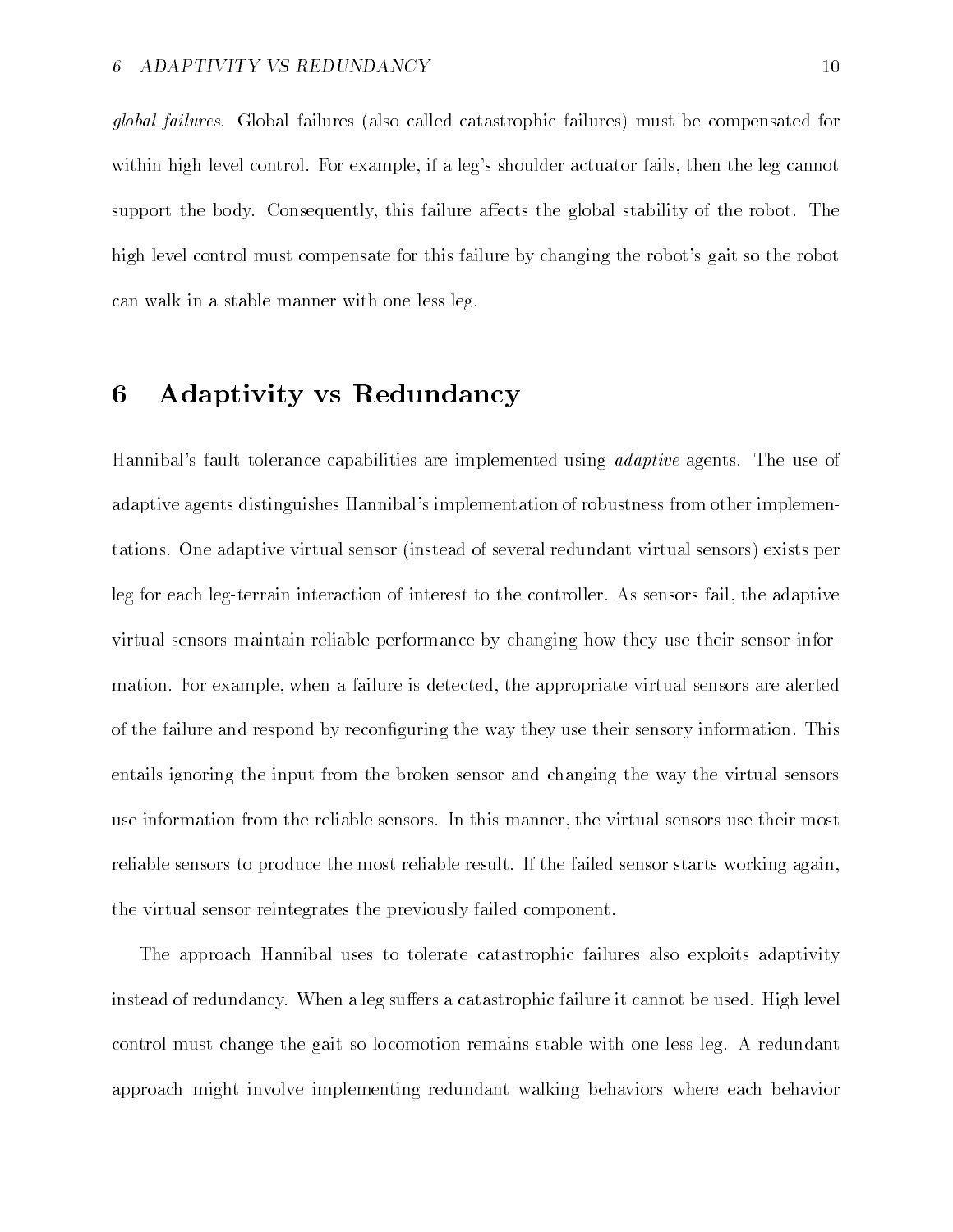global failures. Global failures (also called catastrophic failures) must be compensated for within high level control. For example, if a leg's shoulder actuator fails, then the leg cannot support the body. Consequently, this failure affects the global stability of the robot. The high level control must compensate for this failure by changing the robot's gait so the robot can walk in a stable manner with one less leg

#### 6 Adaptivity vs Redundancy

Hannibal's fault tolerance capabilities are implemented using *adaptive* agents. The use of adaptive agents distinguishes Hannibal's implementation of robustness from other implementations. One adaptive virtual sensor (instead of several redundant virtual sensors) exists per leg for each leg-terrain interaction of interest to the controller. As sensors fail, the adaptive virtual sensors maintain reliable performance by changing how they use their sensor infor mation. For example, when a failure is detected, the appropriate virtual sensors are alerted of the failure and respond by reconfiguring the way they use their sensory information. This entails ignoring the input from the broken sensor and changing the way the virtual sensors use information from the reliable sensors In this manner the virtual sensors use their most reliable sensors to produce the most reliable result. If the failed sensor starts working again, the virtual sensor reintegrates the previously failed component

The approach Hannibal uses to tolerate catastrophic failures also exploits adaptivity instead of redundancy. When a leg suffers a catastrophic failure it cannot be used. High level control must change the gait so locomotion remains stable with one less leg. A redundant approach might involve implementing redundant walking behaviors where each behavior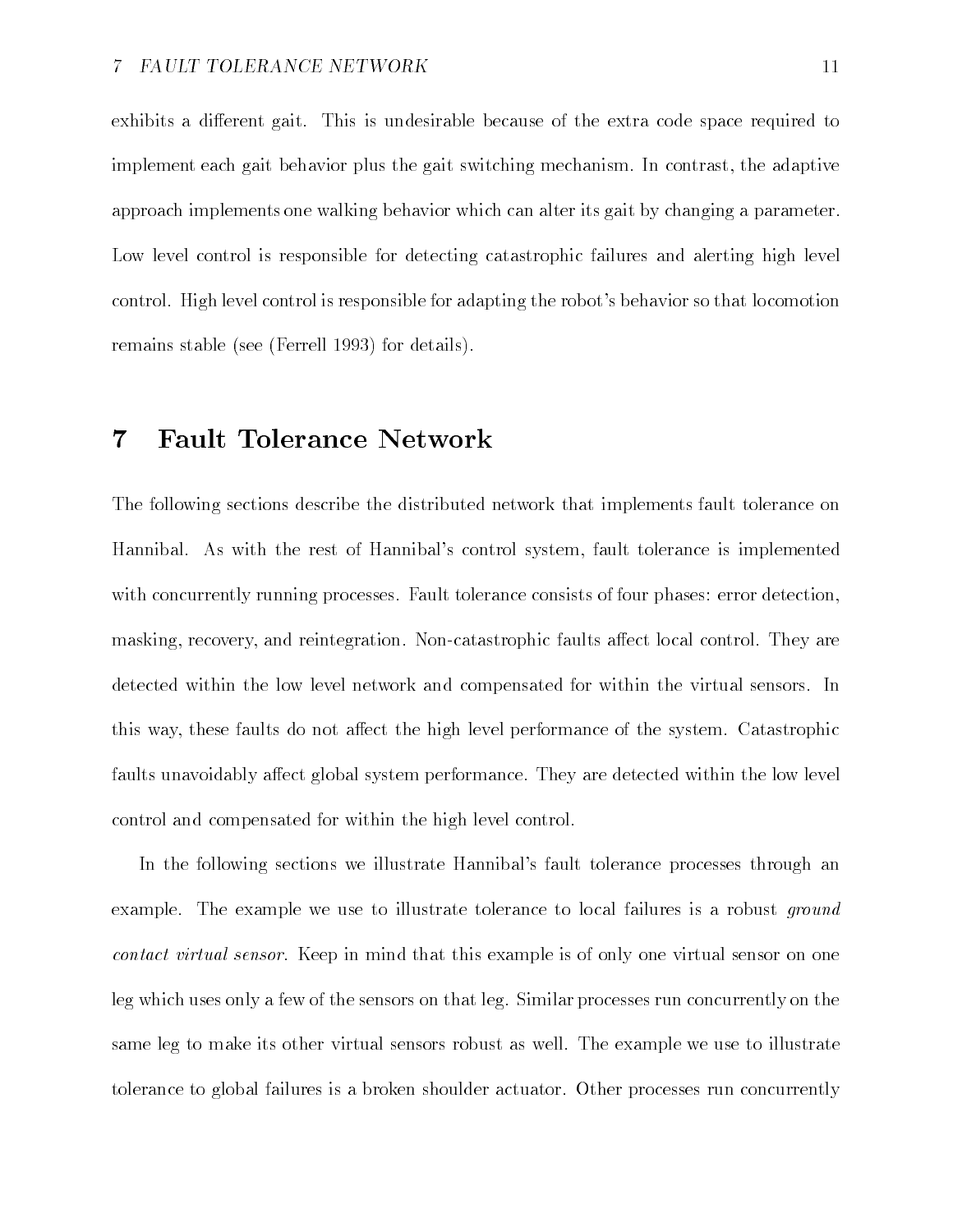exhibits a different gait. This is undesirable because of the extra code space required to implement each gait behavior plus the gait switching mechanism. In contrast, the adaptive approach implements one walking behavior which can alter its gait by changing a parameter Low level control is responsible for detecting catastrophic failures and alerting high level control. High level control is responsible for adapting the robot's behavior so that locomotion remains stable (see (Ferrell 1993) for details).

## Fault Tolerance Network

The following sections describe the distributed network that implements fault tolerance on Hannibal. As with the rest of Hannibal's control system, fault tolerance is implemented with concurrently running processes. Fault tolerance consists of four phases: error detection, masking, recovery, and reintegration. Non-catastrophic faults affect local control. They are detected within the low level network and compensated for within the virtual sensors In this way, these faults do not affect the high level performance of the system. Catastrophic faults unavoidably affect global system performance. They are detected within the low level control and compensated for within the high level control

In the following sections we illustrate Hannibal's fault tolerance processes through an example. The example we use to illustrate tolerance to local failures is a robust *ground* contact virtual sensor Keep in mind that this example is of only one virtual sensor on one leg which uses only a few of the sensors on that leg. Similar processes run concurrently on the same leg to make its other virtual sensors robust as well. The example we use to illustrate tolerance to global failures is a broken shoulder actuator Other processes run concurrently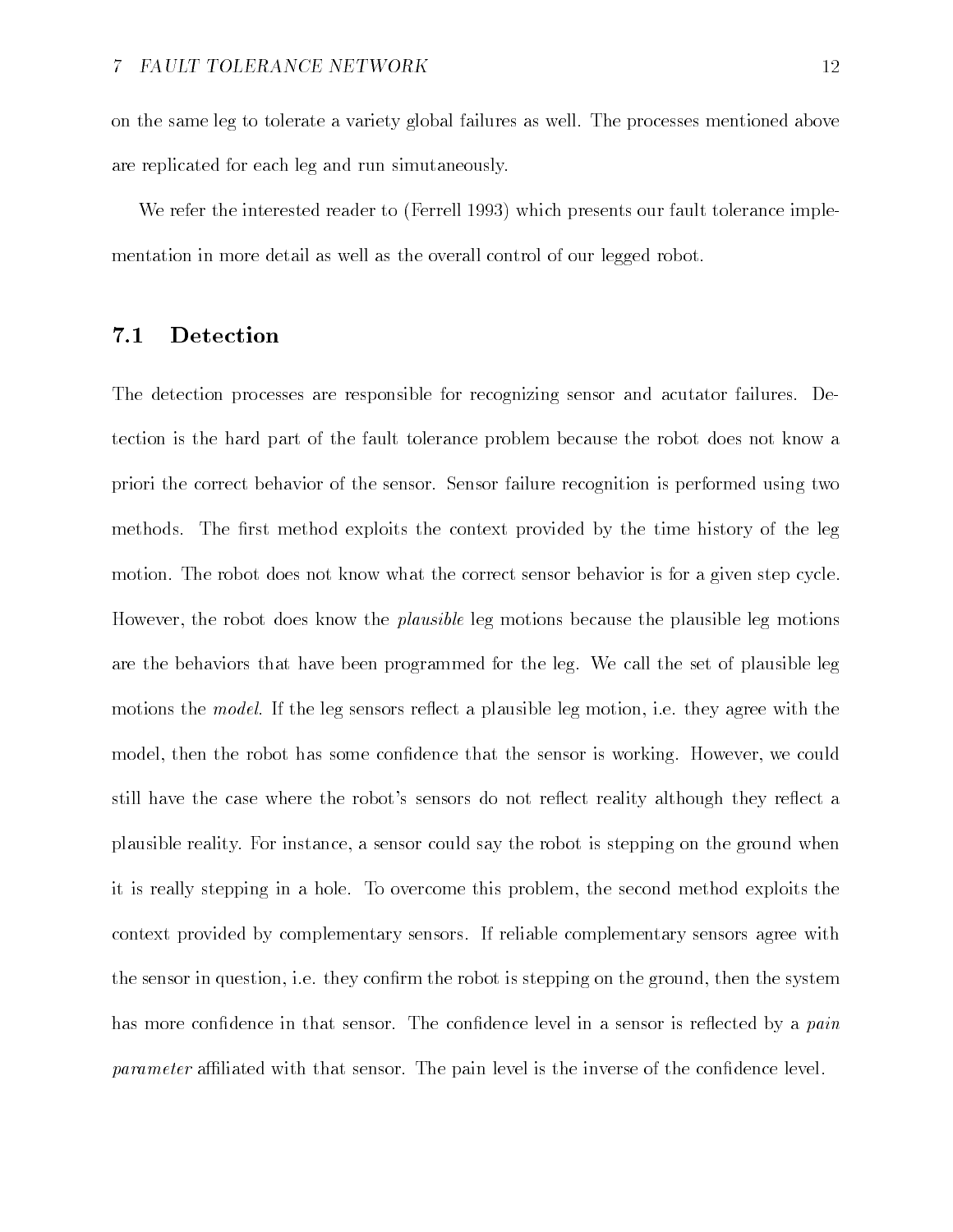on the same leg to tolerate a variety global failures as well The processes mentioned above are replicated for each leg and run simutaneously

We refer the interested reader to (Ferrell 1993) which presents our fault tolerance implementation in more detail as well as the overall control of our legged robot

#### -Detection

The detection processes are responsible for recognizing sensor and acutator failures. Detection is the hard part of the fault tolerance problem because the robot does not know a priori the correct behavior of the sensor Sensor failure recognition is performed using two methods. The first method exploits the context provided by the time history of the leg motion. The robot does not know what the correct sensor behavior is for a given step cycle. However, the robot does know the *plausible* leg motions because the plausible leg motions are the behaviors that have been programmed for the leg. We call the set of plausible leg motions the *model*. If the leg sensors reflect a plausible leg motion, i.e. they agree with the model, then the robot has some confidence that the sensor is working. However, we could still have the case where the robot's sensors do not reflect reality although they reflect a plausible reality For instance a sensor could say the robot is stepping on the ground when it is really stepping in a hole. To overcome this problem, the second method exploits the context provided by complementary sensors If reliable complementary sensors agree with the sensor in question, i.e. they confirm the robot is stepping on the ground, then the system has more confidence in that sensor. The confidence level in a sensor is reflected by a *pain*  $parameter$  affiliated with that sensor. The pain level is the inverse of the confidence level.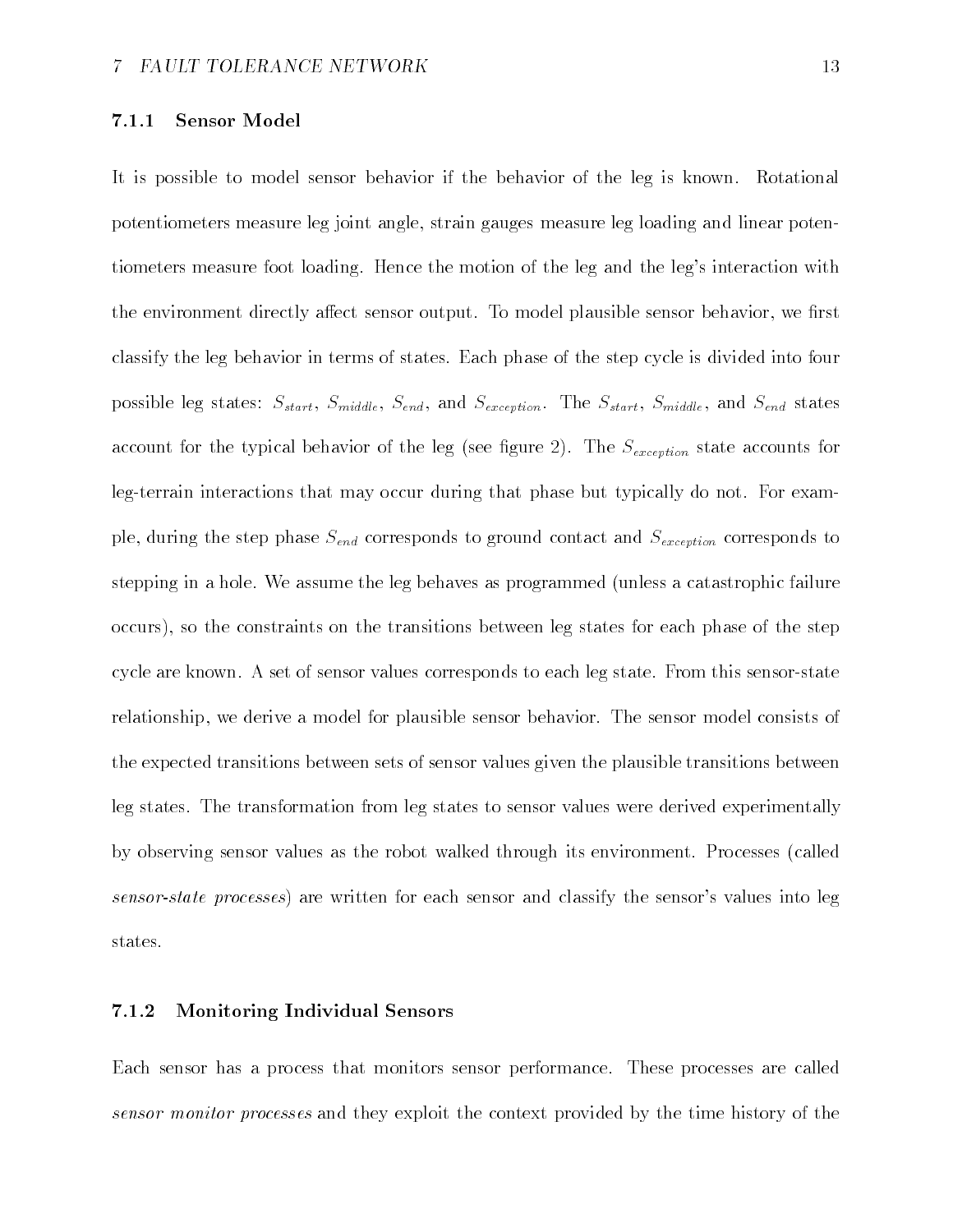### Sensor Model

It is possible to model sensor behavior if the behavior of the leg is known. Rotational potentiometers measure leg joint angle strain gauges measure leg loading and linear poten tiometers measure foot loading. Hence the motion of the leg and the leg's interaction with the environment directly affect sensor output. To model plausible sensor behavior, we first classify the leg behavior in terms of states Each phase of the step cycle is divided into four possible leg states:  $S_{start}$ ,  $S_{middle}$ ,  $S_{end}$ , and  $S_{exception}$ . The  $S_{start}$ ,  $S_{middle}$  and  $S_{end}$  states account for the typical behavior of the leg see gure - The Sexception state accounts for leg-terrain interactions that may occur during that phase but typically do not. For example, during the step phase  $S_{end}$  corresponds to ground contact and  $S_{exception}$  corresponds to stepping in a hole. We assume the leg behaves as programmed (unless a catastrophic failure occurs), so the constraints on the transitions between leg states for each phase of the step cycle are known. A set of sensor values corresponds to each leg state. From this sensor-state relationship, we derive a model for plausible sensor behavior. The sensor model consists of the expected transitions between sets of sensor values given the plausible transitions between leg states The transformation from leg states to sensor values were derived experimentally by observing sensor values as the robot walked through its environment Processes called sensor-state processes) are written for each sensor and classify the sensor's values into leg states

#### $7.1.2$ Monitoring Individual Sensors

Each sensor has a process that monitors sensor performance These processes are called sensor monitor processes and they exploit the context provided by the time history of the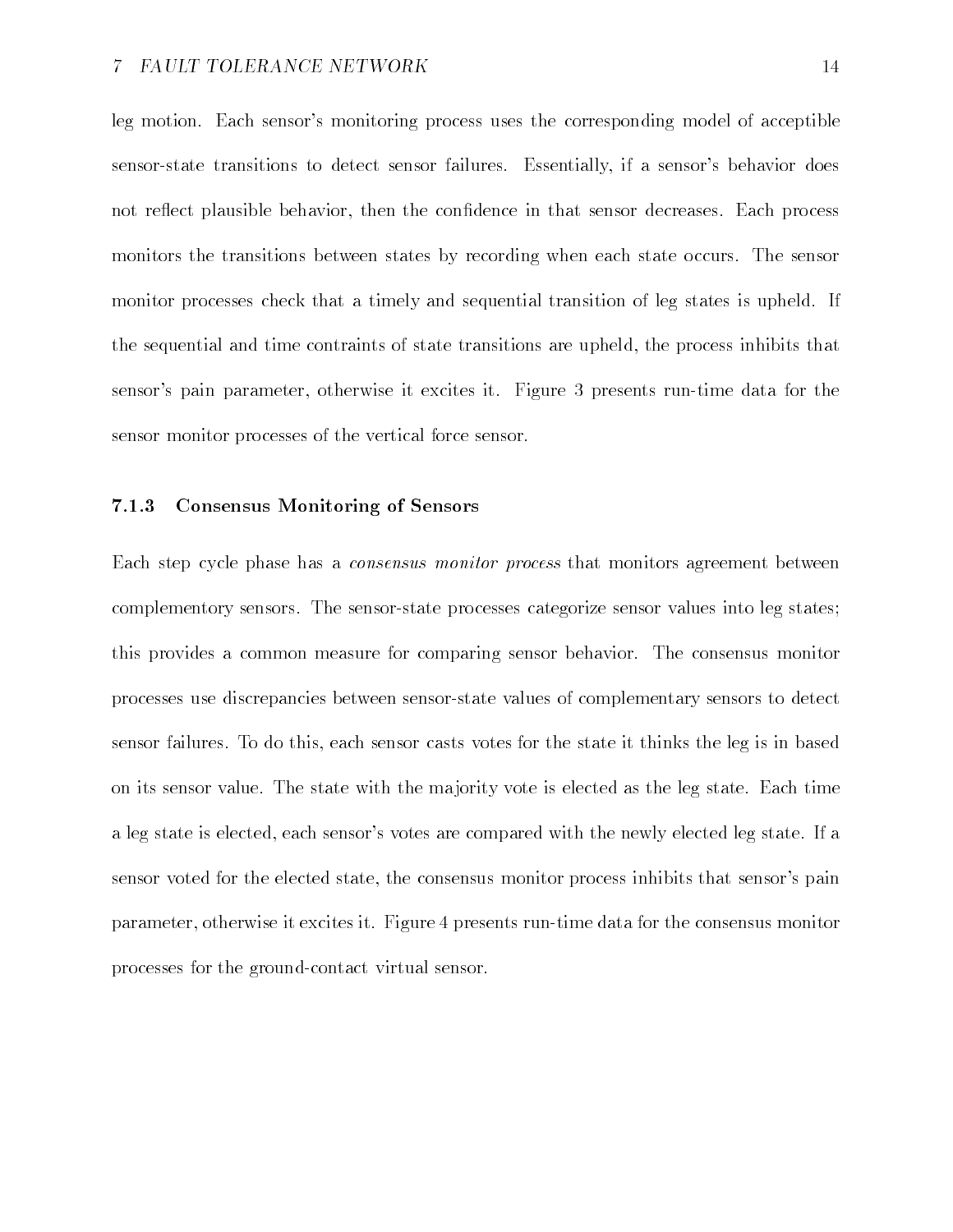leg motion. Each sensor's monitoring process uses the corresponding model of acceptible sensor-state transitions to detect sensor failures. Essentially, if a sensor's behavior does not reflect plausible behavior, then the confidence in that sensor decreases. Each process monitors the transitions between states by recording when each state occurs. The sensor monitor processes check that a timely and sequential transition of leg states is upheld. If the sequential and time contraints of state transitions are upheld, the process inhibits that sensor's pain parameter, otherwise it excites it. Figure 3 presents run-time data for the sensor monitor processes of the vertical force sensor

### Consensus Monitoring of Sensors

Each step cycle phase has a consensus monitor process that monitors agreement between complementory sensors. The sensor-state processes categorize sensor values into leg states; this provides a common measure for comparing sensor behavior The consensus monitor processes use discrepancies between sensorstate values of complementary sensors to detect sensor failures. To do this, each sensor casts votes for the state it thinks the leg is in based on its sensor value The state with the ma jority vote is elected as the leg state Each time a leg state is elected, each sensor's votes are compared with the newly elected leg state. If a sensor voted for the elected state, the consensus monitor process inhibits that sensor's pain parameter, otherwise it excites it. Figure 4 presents run-time data for the consensus monitor processes for the ground-contact virtual sensor.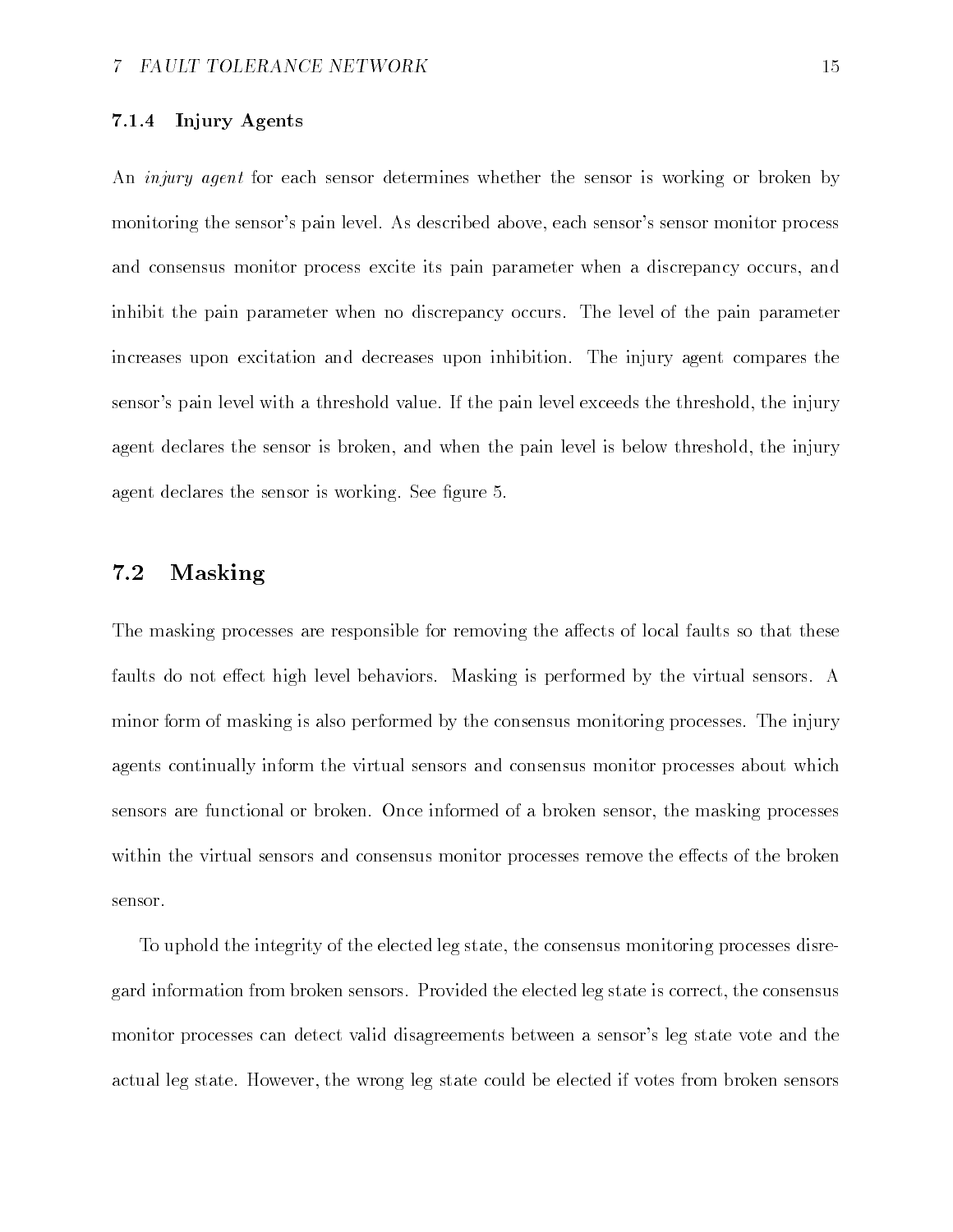### Injury Agents

An *injury agent* for each sensor determines whether the sensor is working or broken by monitoring the sensor's pain level. As described above, each sensor's sensor monitor process and consensus monitor process excite its pain parameter when a discrepancy occurs and inhibit the pain parameter when no discrepancy occurs. The level of the pain parameter increases upon excitation and decreases upon inhibition The injury agent compares the sensor's pain level with a threshold value. If the pain level exceeds the threshold, the injury agent declares the sensor is broken, and when the pain level is below threshold, the injury agent declares the sensor is working. See figure 5.

#### -Masking

The masking processes are responsible for removing the affects of local faults so that these faults do not effect high level behaviors. Masking is performed by the virtual sensors. A minor form of masking is also performed by the consensus monitoring processes The injury agents continually inform the virtual sensors and consensus monitor processes about which sensors are functional or broken. Once informed of a broken sensor, the masking processes within the virtual sensors and consensus monitor processes remove the effects of the broken sensor

To uphold the integrity of the elected leg state, the consensus monitoring processes disregard information from broken sensors. Provided the elected leg state is correct, the consensus monitor processes can detect valid disagreements between a sensor's leg state vote and the actual leg state. However, the wrong leg state could be elected if votes from broken sensors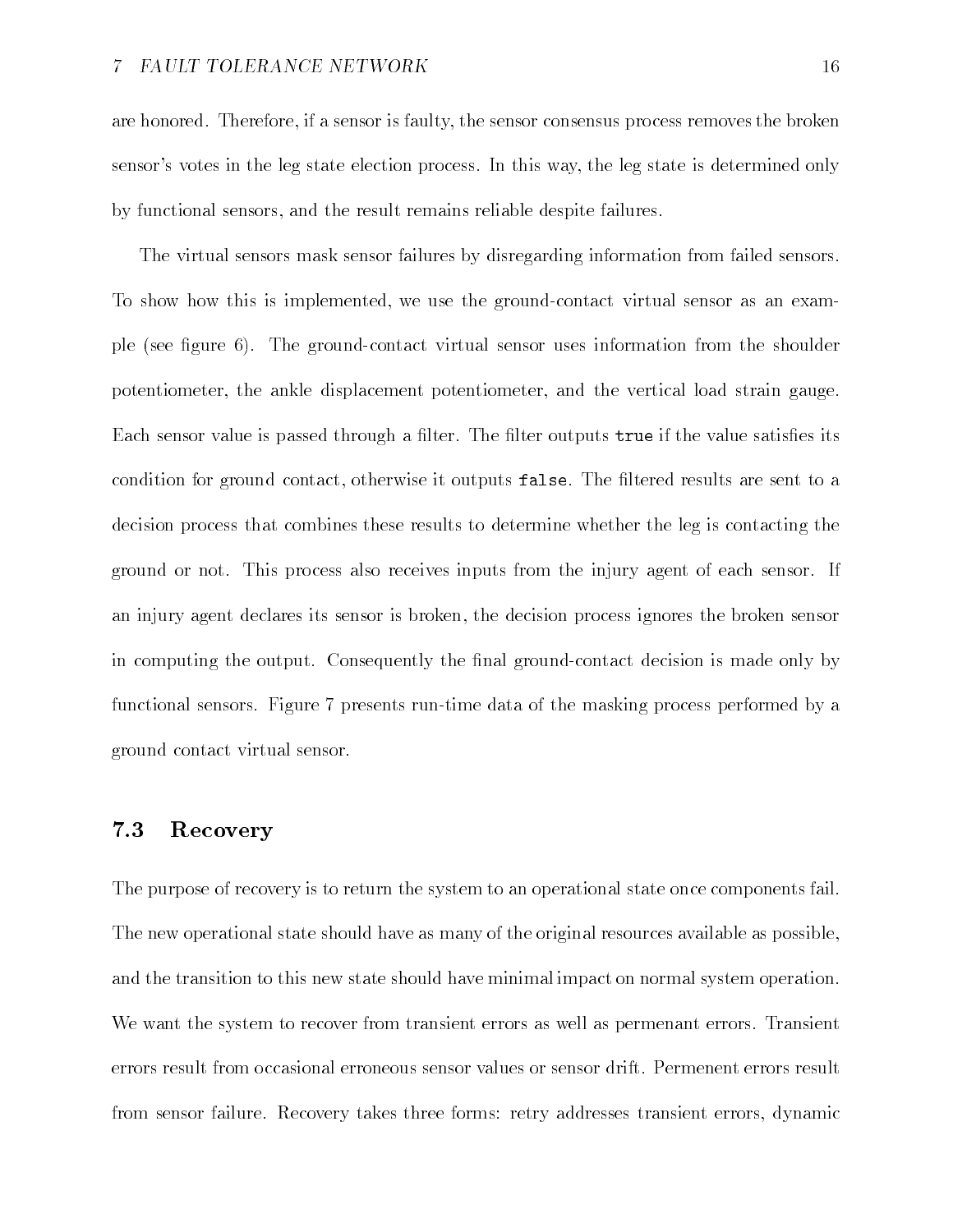are honored. Therefore, if a sensor is faulty, the sensor consensus process removes the broken sensor's votes in the leg state election process. In this way, the leg state is determined only by functional sensors and the result remains reliable despite failures

The virtual sensors mask sensor failures by disregarding information from failed sensors To show how this is implemented, we use the ground-contact virtual sensor as an example (see figure  $6$ ). The ground-contact virtual sensor uses information from the shoulder potentiometer, the ankle displacement potentiometer, and the vertical load strain gauge. Each sensor value is passed through a filter. The filter outputs true if the value satisfies its condition for ground contact, otherwise it outputs false. The filtered results are sent to a decision process that combines these results to determine whether the leg is contacting the ground or not. This process also receives inputs from the injury agent of each sensor. If an injury agent declares its sensor is broken the decision process ignores the broken sensor in computing the output. Consequently the final ground-contact decision is made only by functional sensors. Figure 7 presents run-time data of the masking process performed by a ground contact virtual sensor

#### -Recovery

The purpose of recovery is to return the system to an operational state once components fail The new operational state should have as many of the original resources available as possible and the transition to this new state should have minimal impact on normal system operation. We want the system to recover from transient errors as well as permenant errors. Transient errors result from occasional erroneous sensor values or sensor drift. Permenent errors result from sensor failure. Recovery takes three forms: retry addresses transient errors, dynamic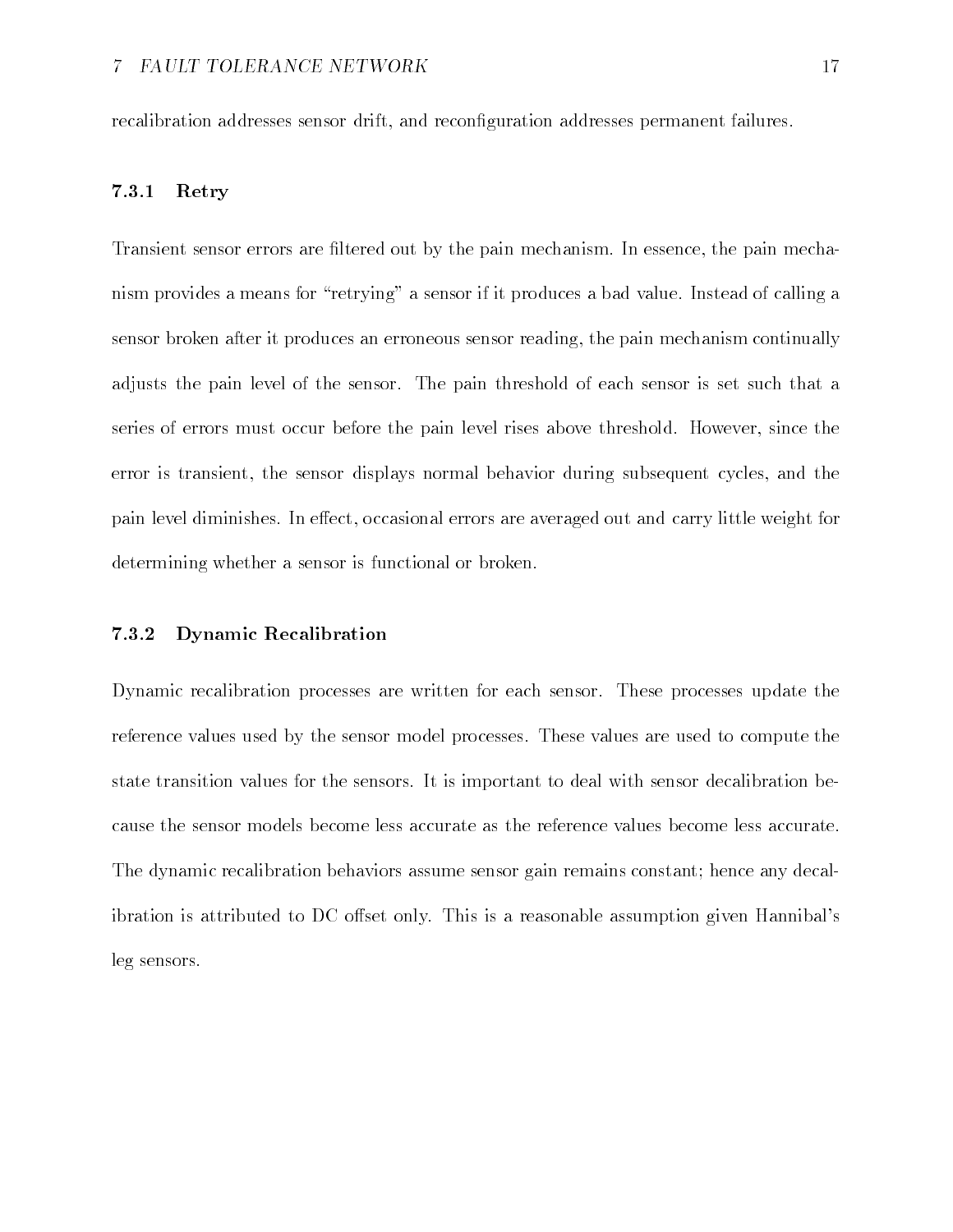recalibration addresses sensor drift, and reconfiguration addresses permanent failures.

### Retry

Transient sensor errors are filtered out by the pain mechanism. In essence, the pain mechanism provides a means for "retrying" a sensor if it produces a bad value. Instead of calling a sensor broken after it produces an erroneous sensor reading the pain mechanism continually adjusts the pain level of the sensor The pain threshold of each sensor is set such that a series of errors must occur before the pain level rises above threshold. However, since the error is transient, the sensor displays normal behavior during subsequent cycles, and the pain level diminishes. In effect, occasional errors are averaged out and carry little weight for determining whether a sensor is functional or broken

### Dynamic Recalibration

Dynamic recalibration processes are written for each sensor. These processes update the reference values used by the sensor model processes These values are used to compute the state transition values for the sensors It is important to deal with sensor decalibration be cause the sensor models become less accurate as the reference values become less accurate The dynamic recalibration behaviors assume sensor gain remains constant; hence any decalibration is attributed to DC offset only. This is a reasonable assumption given Hannibal's leg sensors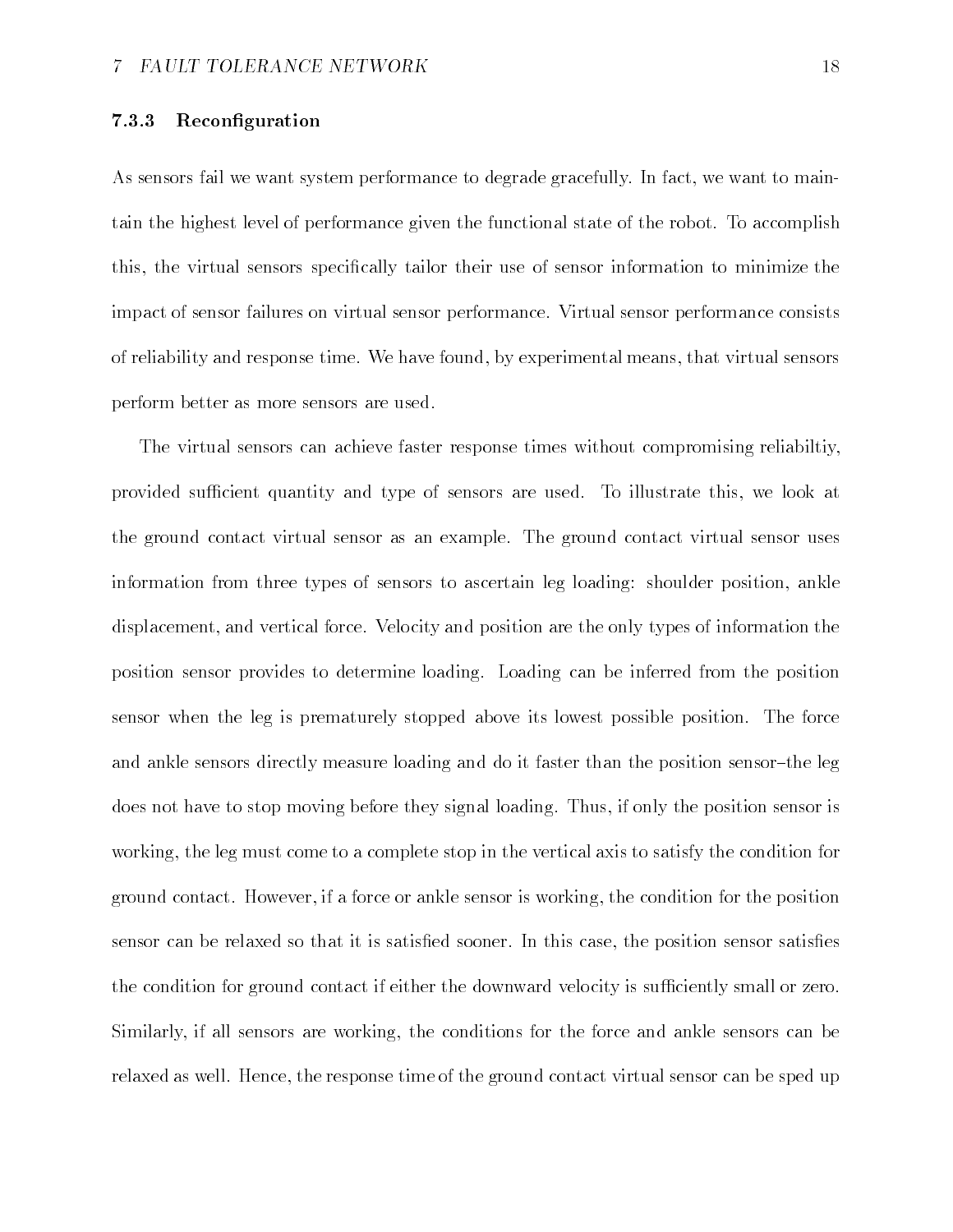### Reconfiguration

As sensors fail we want system performance to degrade gracefully. In fact, we want to maintain the highest level of performance given the functional state of the robot. To accomplish this, the virtual sensors specifically tailor their use of sensor information to minimize the impact of sensor failures on virtual sensor performance Virtual sensor performance consists of reliability and response time. We have found, by experimental means, that virtual sensors perform better as more sensors are used

The virtual sensors can achieve faster response times without compromising reliabiltiy provided sufficient quantity and type of sensors are used. To illustrate this, we look at the ground contact virtual sensor as an example. The ground contact virtual sensor uses information from three types of sensors to ascertain leg loading: shoulder position, ankle displacement, and vertical force. Velocity and position are the only types of information the position sensor provides to determine loading Loading can be inferred from the position sensor when the leg is prematurely stopped above its lowest possible position The force and ankle sensors directly measure loading and do it faster than the position sensor-the leg does not have to stop moving before they signal loading. Thus, if only the position sensor is working, the leg must come to a complete stop in the vertical axis to satisfy the condition for ground contact. However, if a force or ankle sensor is working, the condition for the position sensor can be relaxed so that it is satisfied sooner. In this case, the position sensor satisfies the condition for ground contact if either the downward velocity is sufficiently small or zero. Similarly, if all sensors are working, the conditions for the force and ankle sensors can be relaxed as well. Hence, the response time of the ground contact virtual sensor can be sped up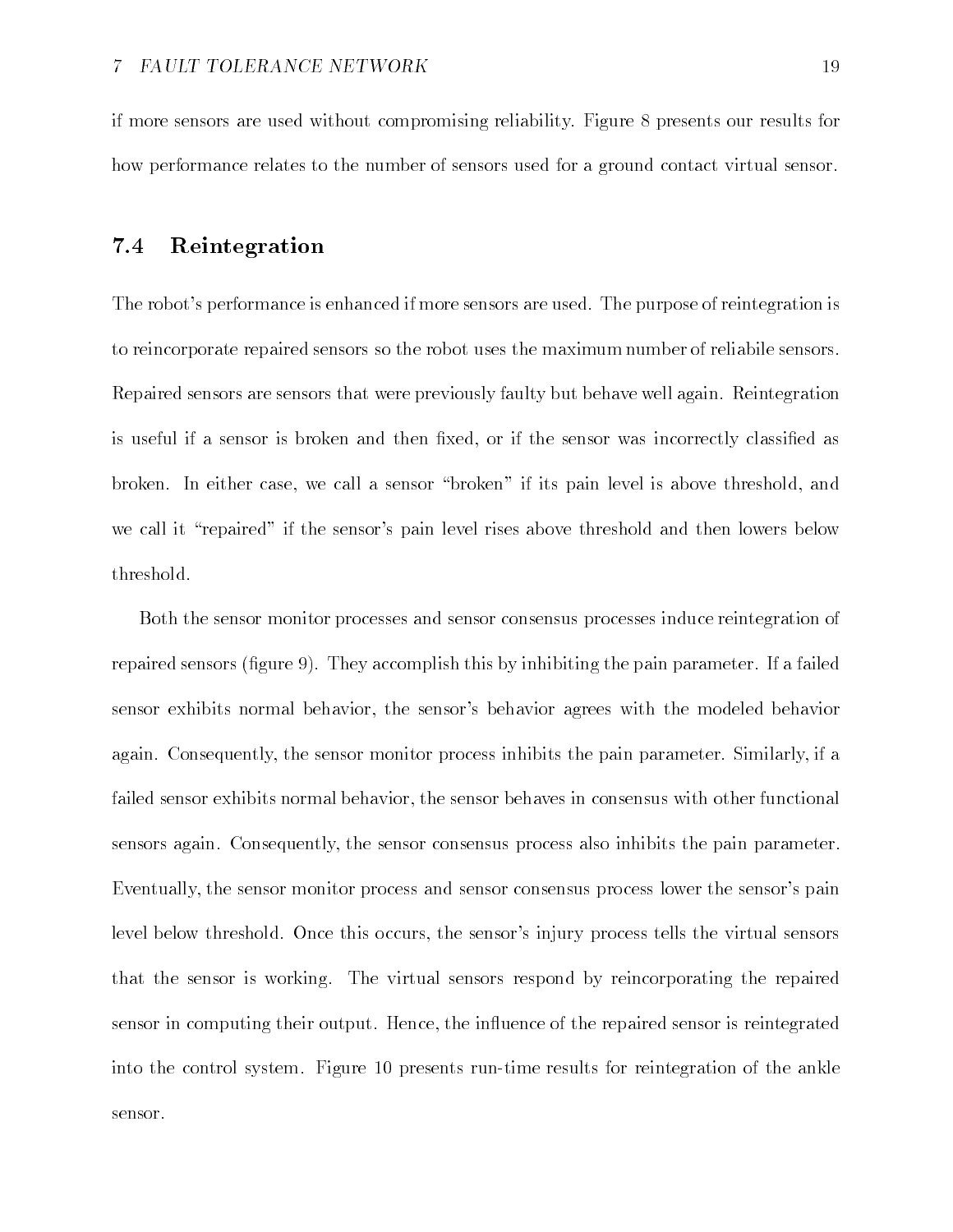if more sensors are used without compromising reliability Figure  presents our results for how performance relates to the number of sensors used for a ground contact virtual sensor

#### -Reintegration

The robot's performance is enhanced if more sensors are used. The purpose of reintegration is to reincorporate repaired sensors so the robot uses the maximum number of reliabile sensors Repaired sensors are sensors that were previously faulty but behave well again Reintegration is useful if a sensor is broken and then fixed, or if the sensor was incorrectly classified as broken. In either case, we call a sensor "broken" if its pain level is above threshold, and we call it "repaired" if the sensor's pain level rises above threshold and then lowers below threshold

Both the sensor monitor processes and sensor consensus processes induce reintegration of repaired sensors (figure 9). They accomplish this by inhibiting the pain parameter. If a failed sensor exhibits normal behavior, the sensor's behavior agrees with the modeled behavior again Consequently the sensor monitor process inhibits the pain parameter Similarly if a failed sensor exhibits normal behavior, the sensor behaves in consensus with other functional sensors again. Consequently, the sensor consensus process also inhibits the pain parameter. Eventually, the sensor monitor process and sensor consensus process lower the sensor's pain level below threshold. Once this occurs, the sensor's injury process tells the virtual sensors that the sensor is working. The virtual sensors respond by reincorporating the repaired sensor in computing their output. Hence, the influence of the repaired sensor is reintegrated into the control system Figure , we reflect the anti-order results for reintegration of the ankle  $\mathcal{E}$ sensor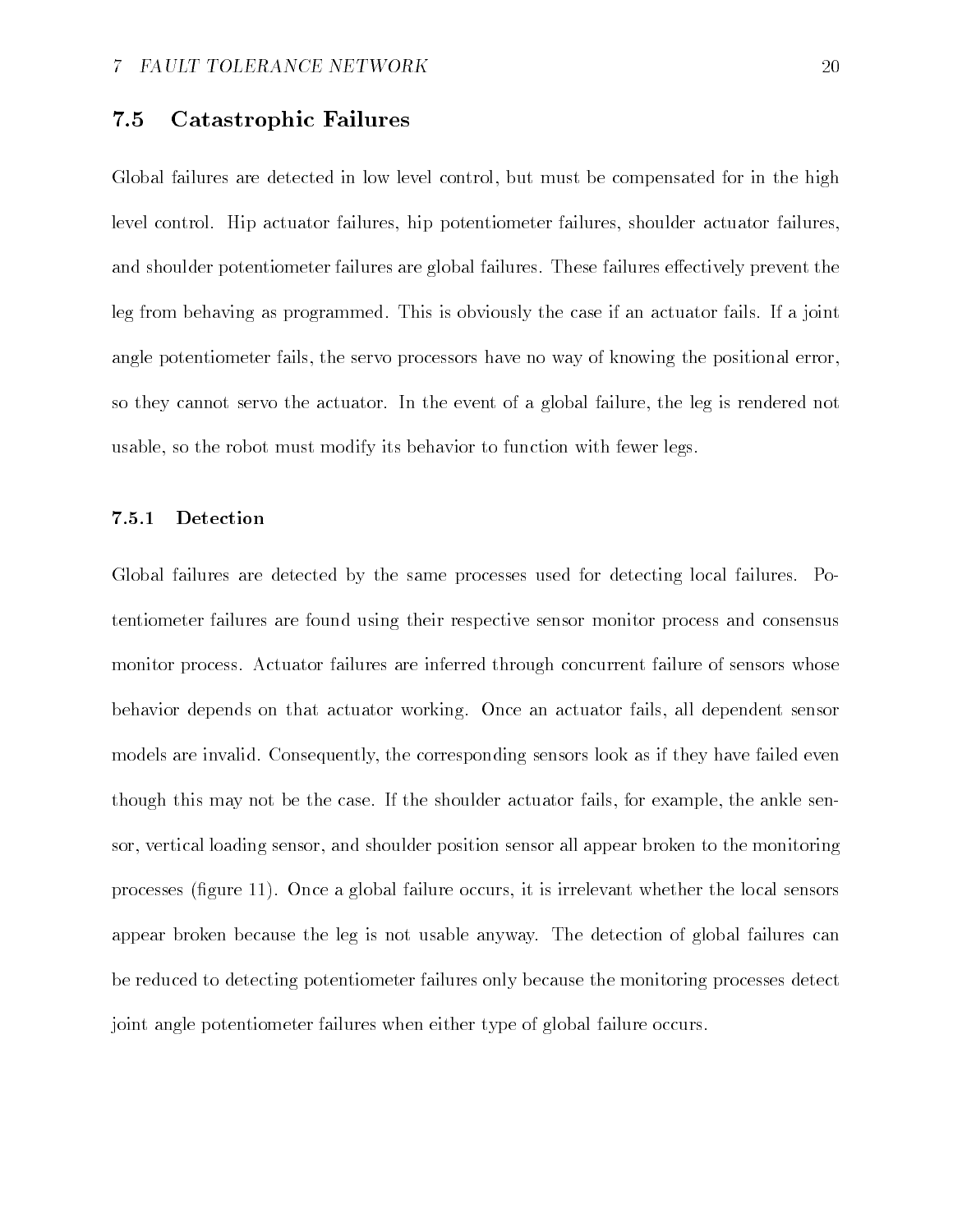#### -Catastrophic Failures

Global failures are detected in low level control, but must be compensated for in the high level control. Hip actuator failures, hip potentiometer failures, shoulder actuator failures, and shoulder potentiometer failures are global failures. These failures effectively prevent the leg from behaving as programmed. This is obviously the case if an actuator fails. If a joint angle potentiometer fails, the servo processors have no way of knowing the positional error, so they cannot servo the actuator. In the event of a global failure, the leg is rendered not usable, so the robot must modify its behavior to function with fewer legs.

### Detection

Global failures are detected by the same processes used for detecting local failures. Potentiometer failures are found using their respective sensor monitor process and consensus monitor process Actuator failures are inferred through concurrent failure of sensors whose behavior depends on that actuator working Once an actuator fails all dependent sensor models are invalid. Consequently, the corresponding sensors look as if they have failed even though this may not be the case. If the shoulder actuator fails, for example, the ankle sensor, vertical loading sensor, and shoulder position sensor all appear broken to the monitoring processes (figure  $11$ ). Once a global failure occurs, it is irrelevant whether the local sensors appear broken because the leg is not usable anyway. The detection of global failures can be reduced to detecting potentiometer failures only because the monitoring processes detect joint angle potentiometer failures when either type of global failure occurs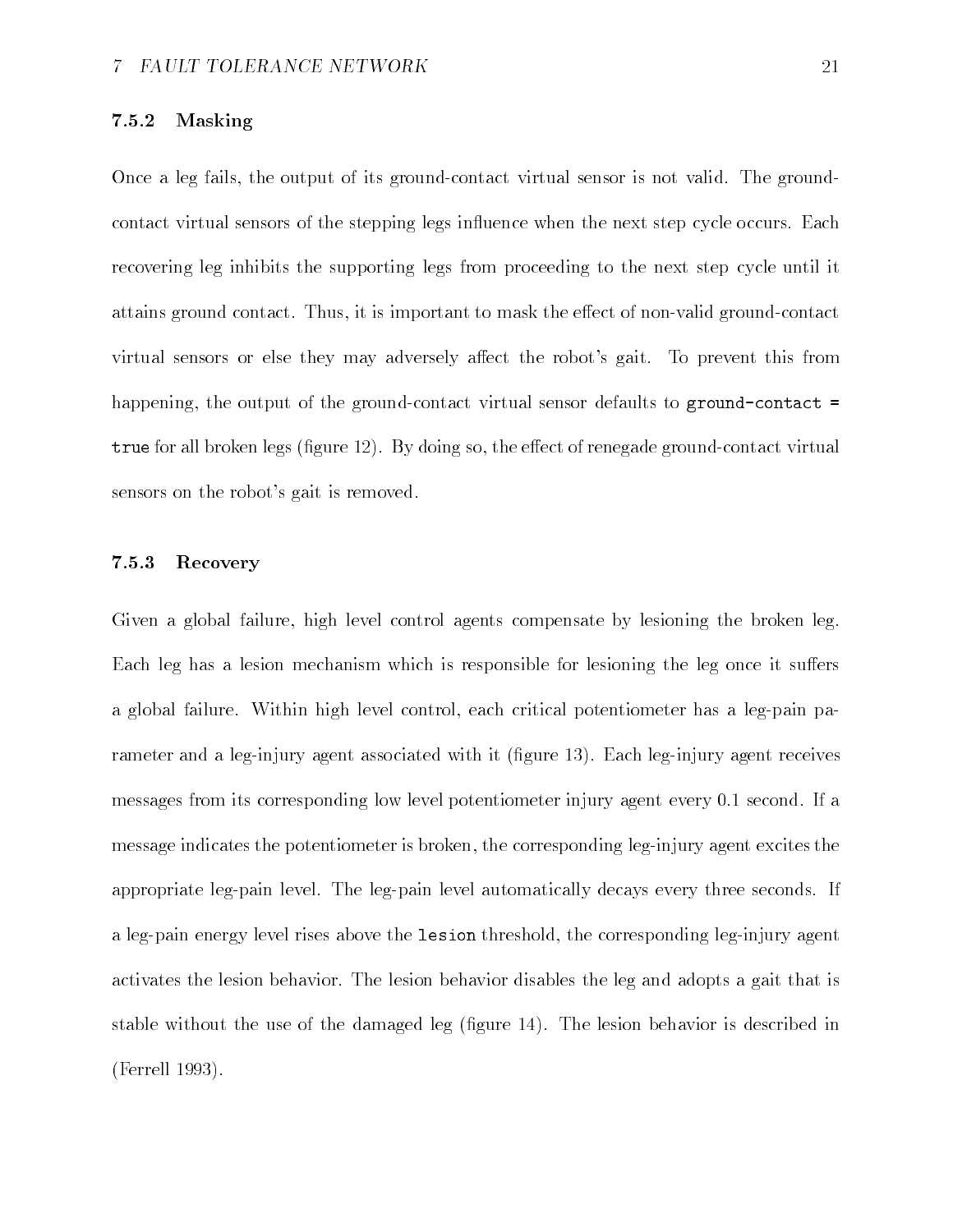### Masking

Once a leg fails, the output of its ground-contact virtual sensor is not valid. The groundcontact virtual sensors of the stepping legs influence when the next step cycle occurs. Each recovering leg inhibits the supporting legs from proceeding to the next step cycle until it attains ground contact. Thus, it is important to mask the effect of non-valid ground-contact virtual sensors or else they may adversely affect the robot's gait. To prevent this from happening, the output of the ground-contact virtual sensor defaults to ground-contact  $=$  $\mathbf{v}$  as the extraction regularization is given by doing so the extendion of reducing  $\mathbf{v}$  and  $\mathbf{v}$  and  $\mathbf{v}$ sensors on the robot's gait is removed.

### Recovery

Given a global failure, high level control agents compensate by lesioning the broken leg. Each leg has a lesion mechanism which is responsible for lesioning the leg once it suffers a global failure. Within high level control, each critical potentiometer has a leg-pain parameter and a leg-injury agent associated with it (figure  $13$ ). Each leg-injury agent receives messages from its corresponding low level potentiometer injury agent every second If a message indicates the potentiometer is broken, the corresponding leg-injury agent excites the appropriate leg-pain level. The leg-pain level automatically decays every three seconds. If a leg-pain energy level rises above the lesion threshold, the corresponding leg-injury agent activates the lesion behavior The lesion behavior disables the leg and adopts a gait that is stable without the use of the damaged leg (figure  $14$ ). The lesion behavior is described in (Ferrell 1993).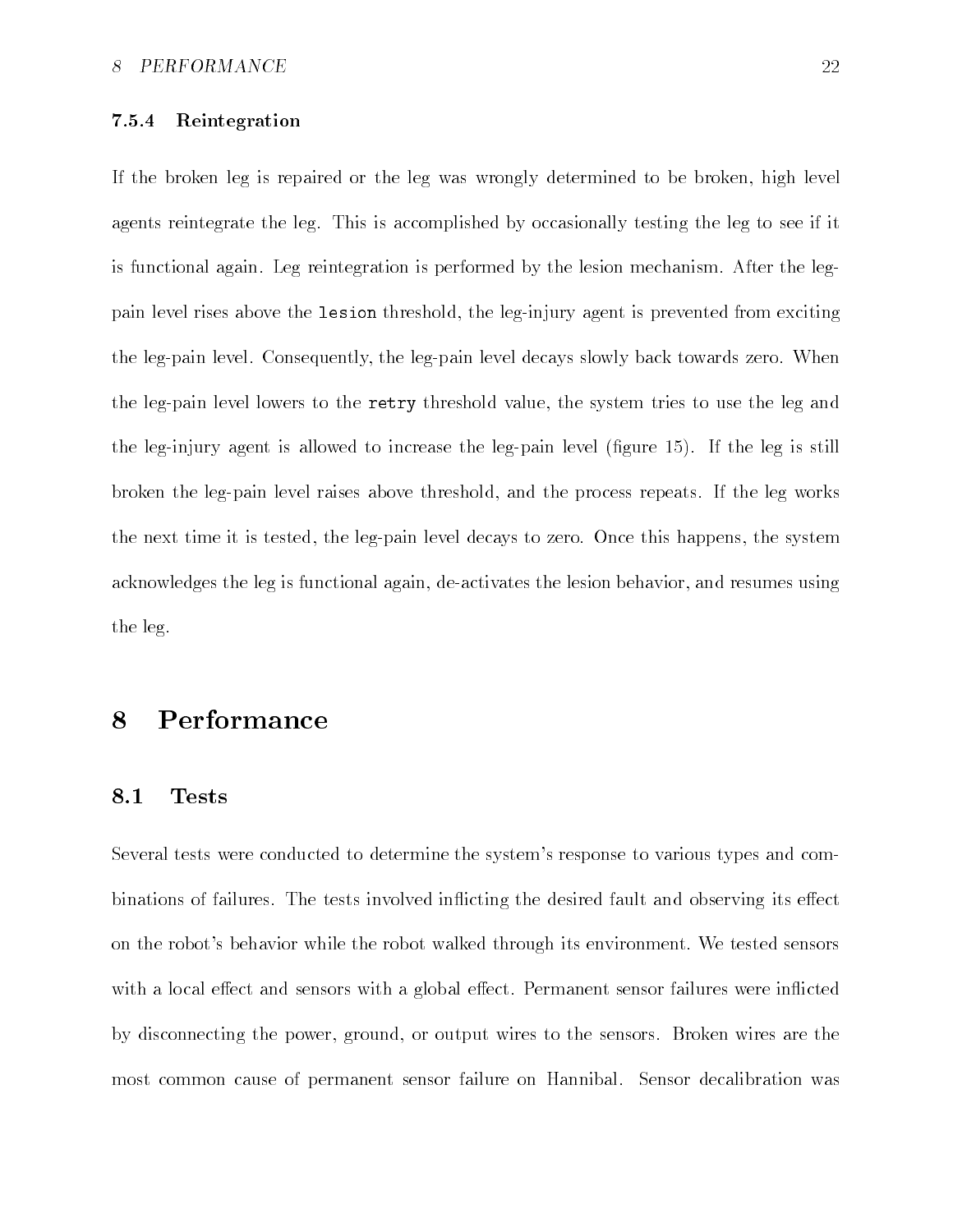### Reintegration

If the broken leg is repaired or the leg was wrongly determined to be broken, high level agents reintegrate the leg. This is accomplished by occasionally testing the leg to see if it is functional again Leg reintegration is performed by the lesion mechanism After the leg pain level rises above the lesion threshold, the leg-injury agent is prevented from exciting the leg-pain level. Consequently, the leg-pain level decays slowly back towards zero. When the leg-pain level lowers to the retry threshold value, the system tries to use the leg and the leg-injury agent is allowed to increase the leg-pain level (figure  $15$ ). If the leg is still broken the leg-pain level raises above threshold, and the process repeats. If the leg works the next time it is tested, the leg-pain level decays to zero. Once this happens, the system acknowledges the leg is functional again, de-activates the lesion behavior, and resumes using the leg

#### 8 Performance

#### -Tests

Several tests were conducted to determine the system's response to various types and combinations of failures. The tests involved inflicting the desired fault and observing its effect on the robot's behavior while the robot walked through its environment. We tested sensors with a local effect and sensors with a global effect. Permanent sensor failures were inflicted by disconnecting the power, ground, or output wires to the sensors. Broken wires are the most common cause of permanent sensor failure on Hannibal. Sensor decalibration was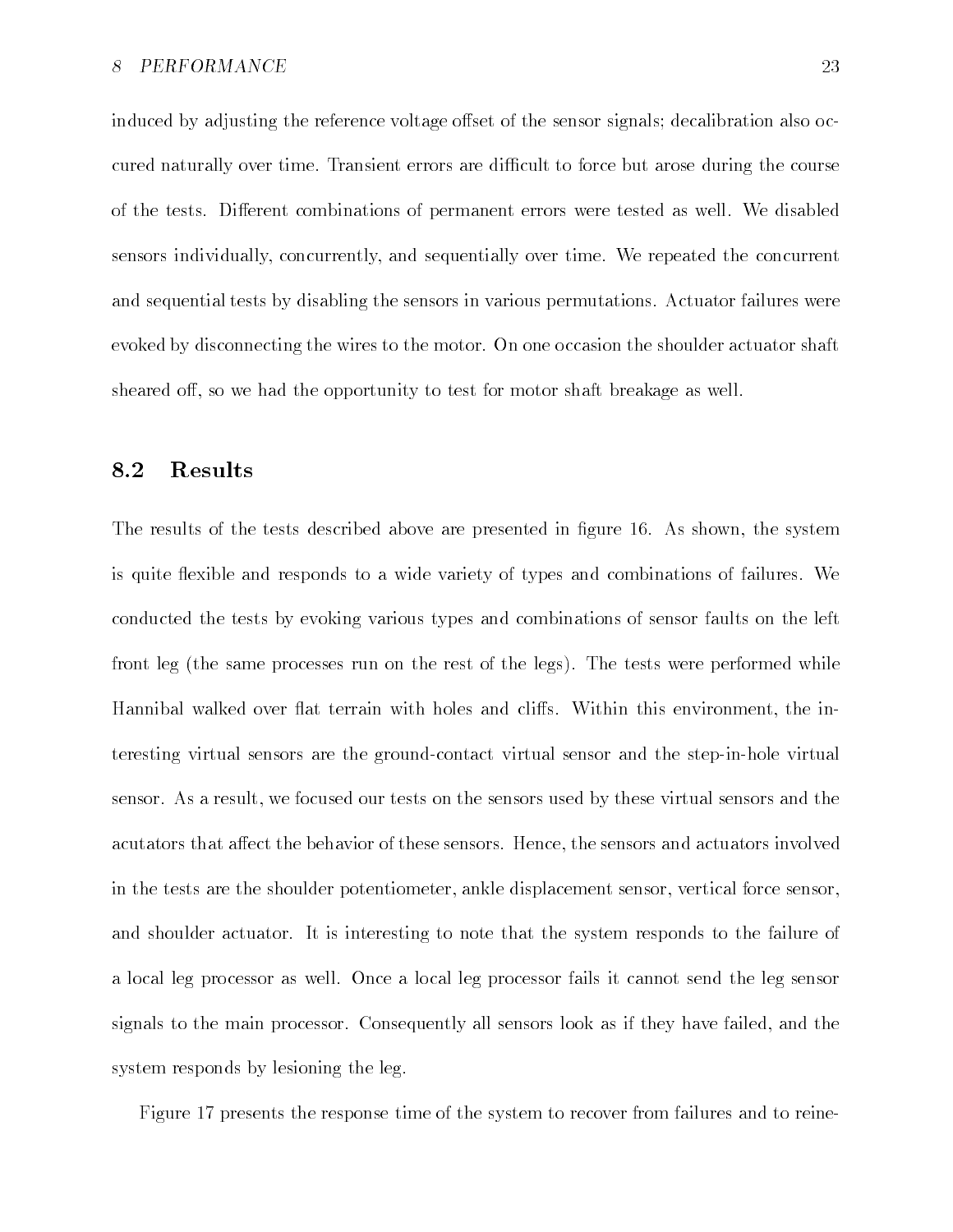induced by adjusting the reference voltage offset of the sensor signals; decalibration also occured naturally over time. Transient errors are difficult to force but arose during the course of the tests. Different combinations of permanent errors were tested as well. We disabled sensors individually, concurrently, and sequentially over time. We repeated the concurrent and sequential tests by disabling the sensors in various permutations Actuator failures were evoked by disconnecting the wires to the motor On one occasion the shoulder actuator shaft sheared off, so we had the opportunity to test for motor shaft breakage as well.

#### -Results

The results of the tests described above are presented in figure 16. As shown, the system is quite flexible and responds to a wide variety of types and combinations of failures. We conducted the tests by evoking various types and combinations of sensor faults on the left front leg (the same processes run on the rest of the legs). The tests were performed while Hannibal walked over flat terrain with holes and cliffs. Within this environment, the interesting virtual sensors are the ground-contact virtual sensor and the step-in-hole virtual sensor. As a result, we focused our tests on the sensors used by these virtual sensors and the acutators that affect the behavior of these sensors. Hence, the sensors and actuators involved in the tests are the shoulder potentiometer, ankle displacement sensor, vertical force sensor, and shoulder actuator. It is interesting to note that the system responds to the failure of a local leg processor as well Once a local leg processor fails it cannot send the leg sensor signals to the main processor. Consequently all sensors look as if they have failed, and the system responds by lesioning the leg

Figure 17 presents the response time of the system to recover from failures and to reine-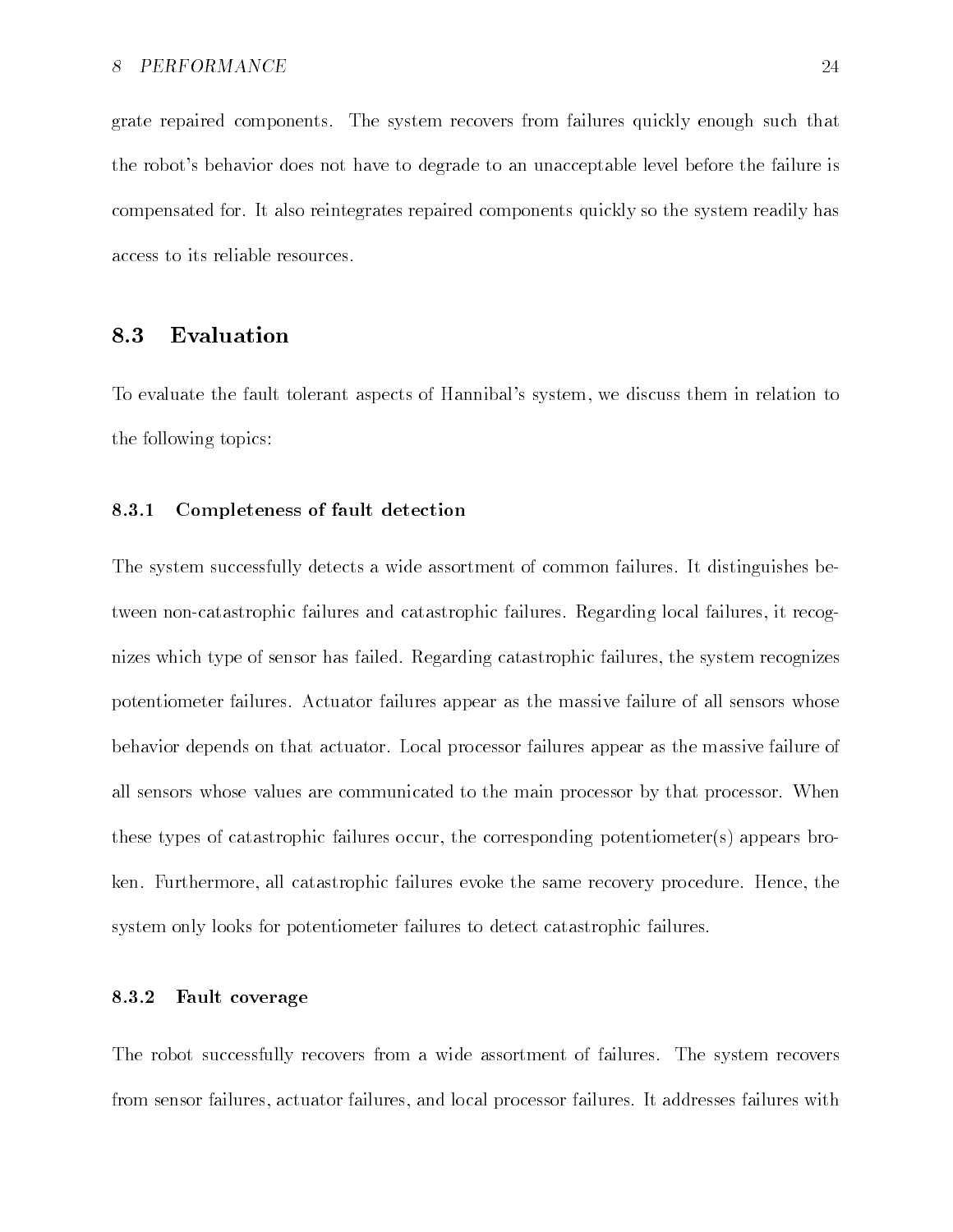grate repaired components The system recovers from failures quickly enough such that the robot's behavior does not have to degrade to an unacceptable level before the failure is compensated for It also reintegrates repaired components quickly so the system readily has access to its reliable resources

#### -Evaluation

To evaluate the fault tolerant aspects of Hannibal's system, we discuss them in relation to the following topics

### Completeness of fault detection

The system successfully detects a wide assortment of common failures. It distinguishes between non-catastrophic failures and catastrophic failures. Regarding local failures, it recognizes which type of sensor has failed. Regarding catastrophic failures, the system recognizes potentiometer failures Actuator failures appear as the massive failure of all sensors whose behavior depends on that actuator Local processor failures appear as the massive failure of all sensors whose values are communicated to the main processor by that processor When these types of catastrophic failures occur, the corresponding potentiometer(s) appears broken. Furthermore, all catastrophic failures evoke the same recovery procedure. Hence, the system only looks for potentiometer failures to detect catastrophic failures

### Fault coverage

The robot successfully recovers from a wide assortment of failures. The system recovers from sensor failures, actuator failures, and local processor failures. It addresses failures with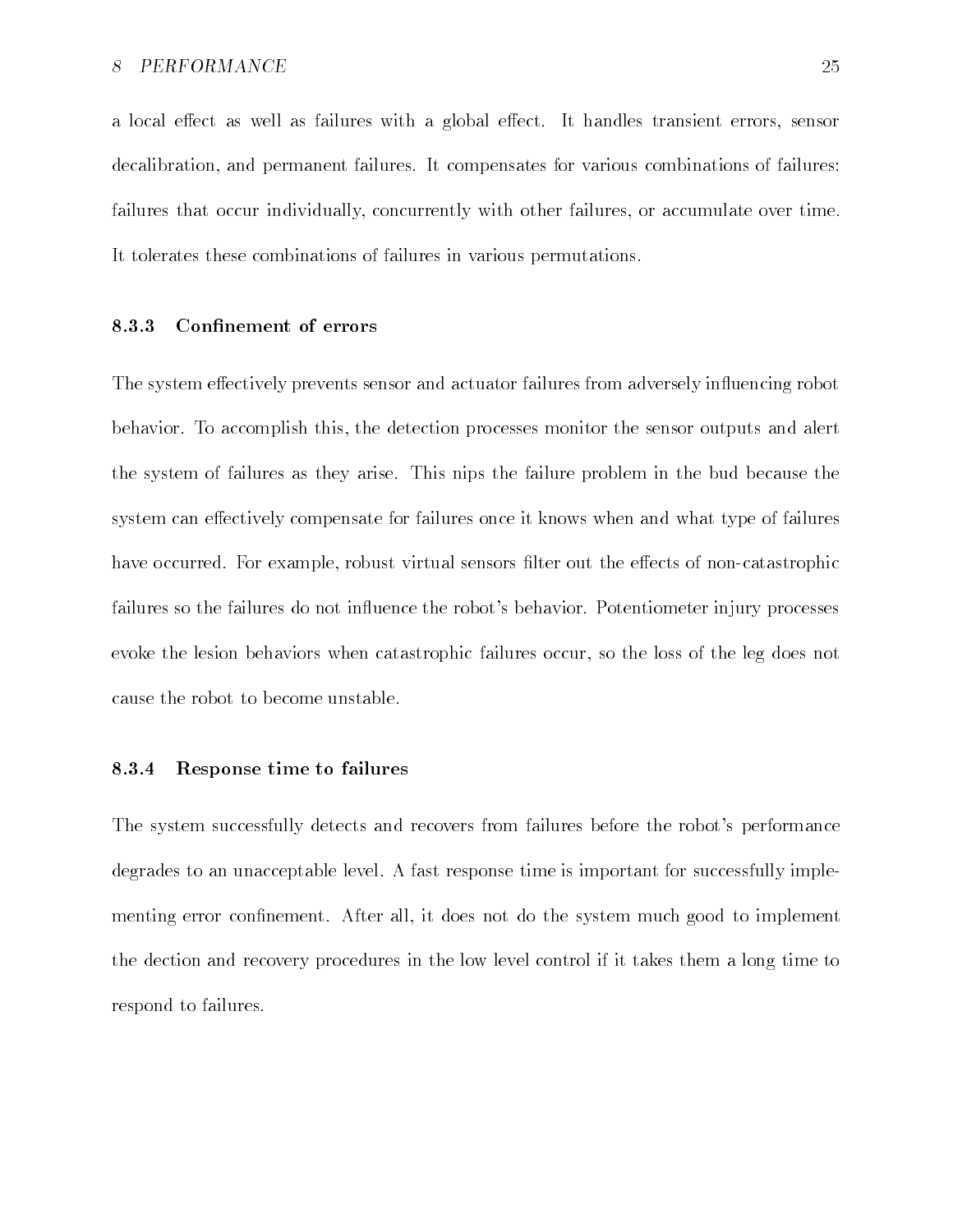a local effect as well as failures with a global effect. It handles transient errors, sensor decalibration, and permanent failures. It compensates for various combinations of failures: failures that occur individually, concurrently with other failures, or accumulate over time. It tolerates these combinations of failures in various permutations

### Confinement of errors

The system effectively prevents sensor and actuator failures from adversely influencing robot behavior. To accomplish this, the detection processes monitor the sensor outputs and alert the system of failures as they arise. This nips the failure problem in the bud because the system can effectively compensate for failures once it knows when and what type of failures have occurred. For example, robust virtual sensors filter out the effects of non-catastrophic failures so the failures do not influence the robot's behavior. Potentiometer injury processes evoke the lesion behaviors when catastrophic failures occur so the loss of the leg does not cause the robot to become unstable

### Response time to failures

The system successfully detects and recovers from failures before the robot's performance degrades to an unacceptable level A fast response time is important for successfully imple menting error confinement. After all, it does not do the system much good to implement the dection and recovery procedures in the low level control if it takes them a long time to respond to failures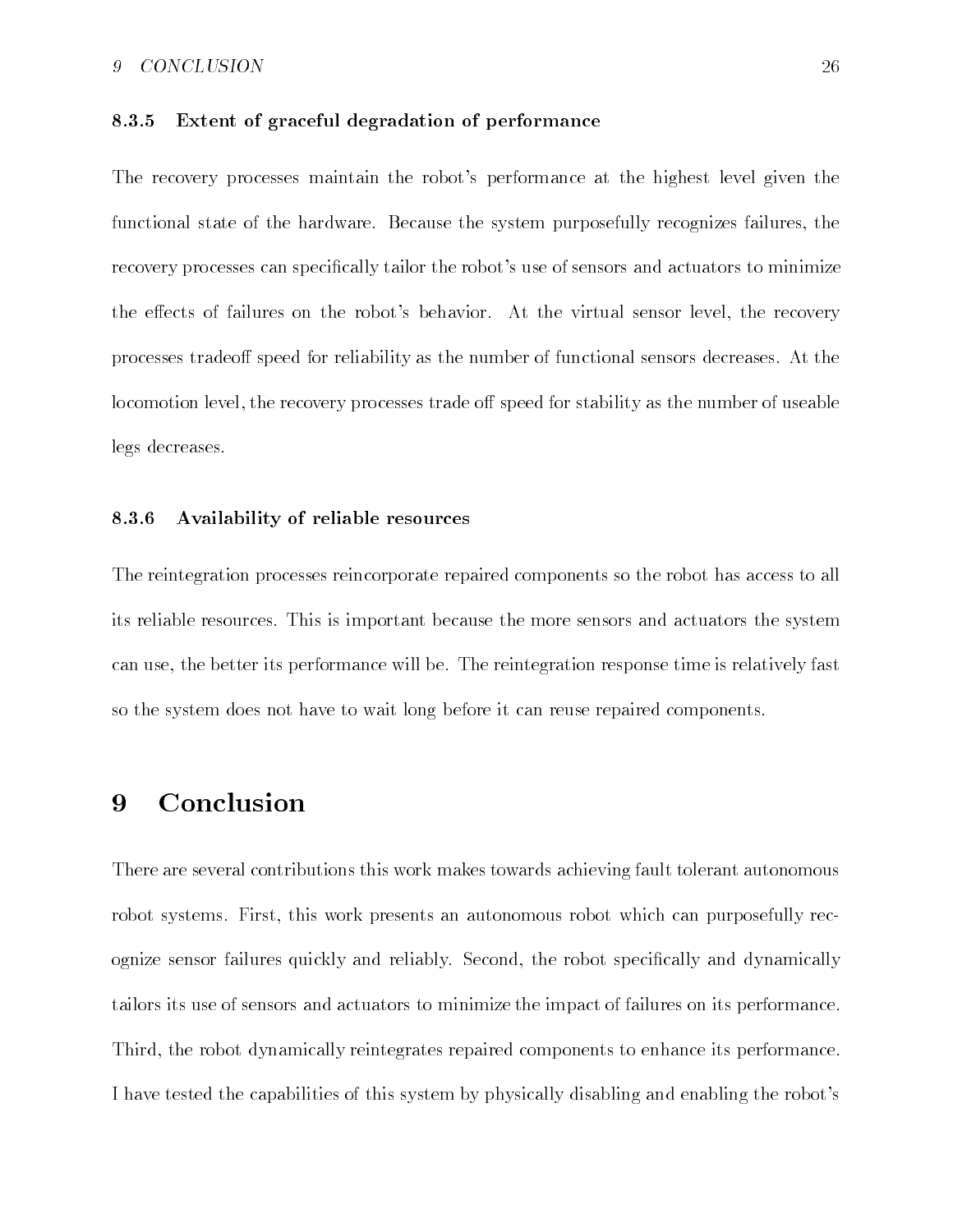### 9 CONCLUSION

### Extent of graceful degradation of performance

The recovery processes maintain the robot's performance at the highest level given the functional state of the hardware. Because the system purposefully recognizes failures, the recovery processes can specifically tailor the robot's use of sensors and actuators to minimize the effects of failures on the robot's behavior. At the virtual sensor level, the recovery processes tradeoff speed for reliability as the number of functional sensors decreases. At the locomotion level, the recovery processes trade off speed for stability as the number of useable legs decreases

### Availability of reliable resources

The reintegration processes reincorporate repaired components so the robot has access to all its reliable resources This is important because the more sensors and actuators the system can use, the better its performance will be. The reintegration response time is relatively fast so the system does not have to wait long before it can reuse repaired components

#### Conclusion 9

There are several contributions this work makes towards achieving fault tolerant autonomous robot systems. First, this work presents an autonomous robot which can purposefully recognize sensor failures quickly and reliably. Second, the robot specifically and dynamically tailors its use of sensors and actuators to minimize the impact of failures on its performance Third, the robot dynamically reintegrates repaired components to enhance its performance. I have tested the capabilities of this system by physically disabling and enabling the robot's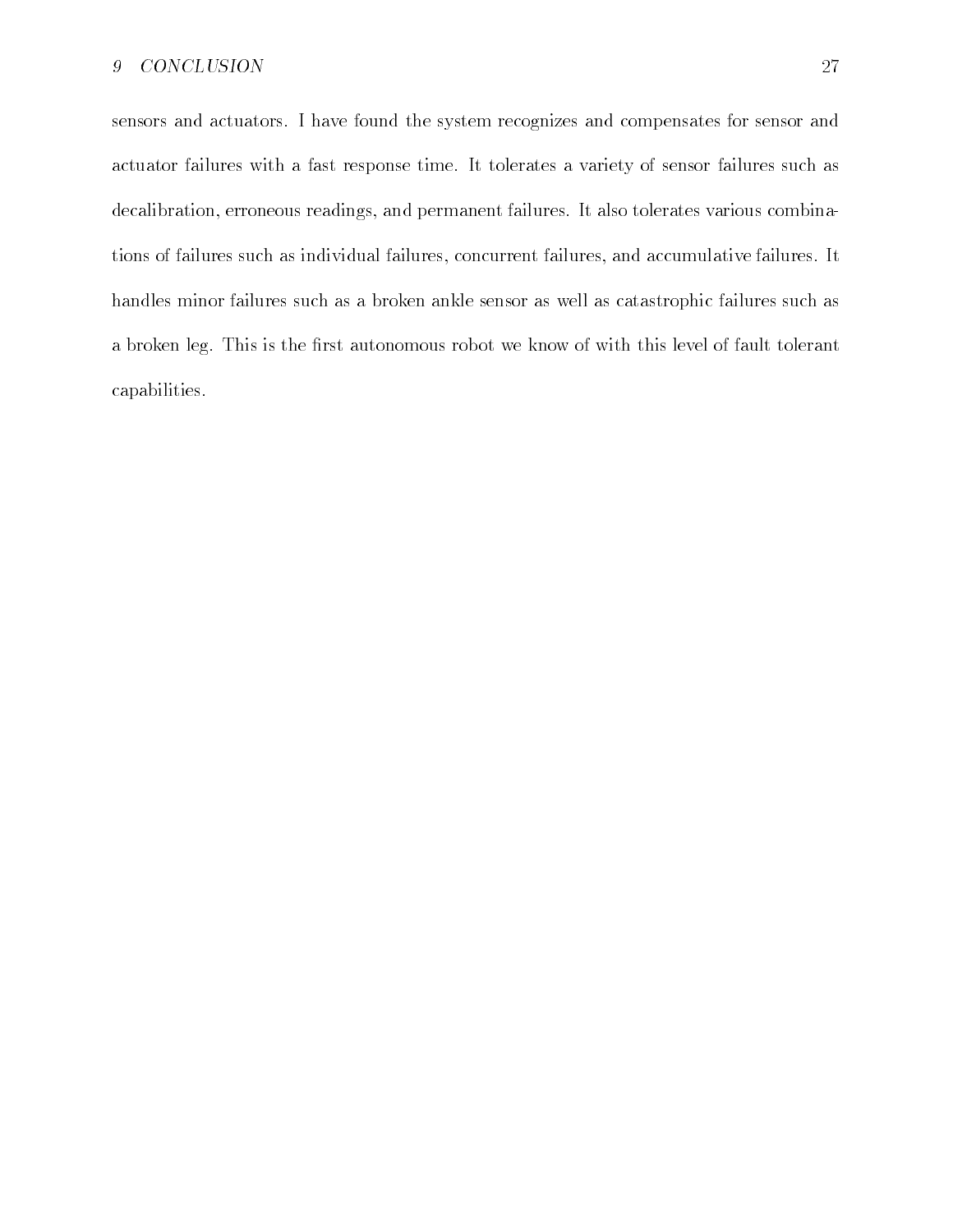sensors and actuators I have found the system recognizes and compensates for sensor and actuator failures with a fast response time It tolerates a variety of sensor failures such as decalibration, erroneous readings, and permanent failures. It also tolerates various combinations of failures such as individual failures, concurrent failures, and accumulative failures. It handles minor failures such as a broken ankle sensor as well as catastrophic failures such as a broken leg. This is the first autonomous robot we know of with this level of fault tolerant capabilities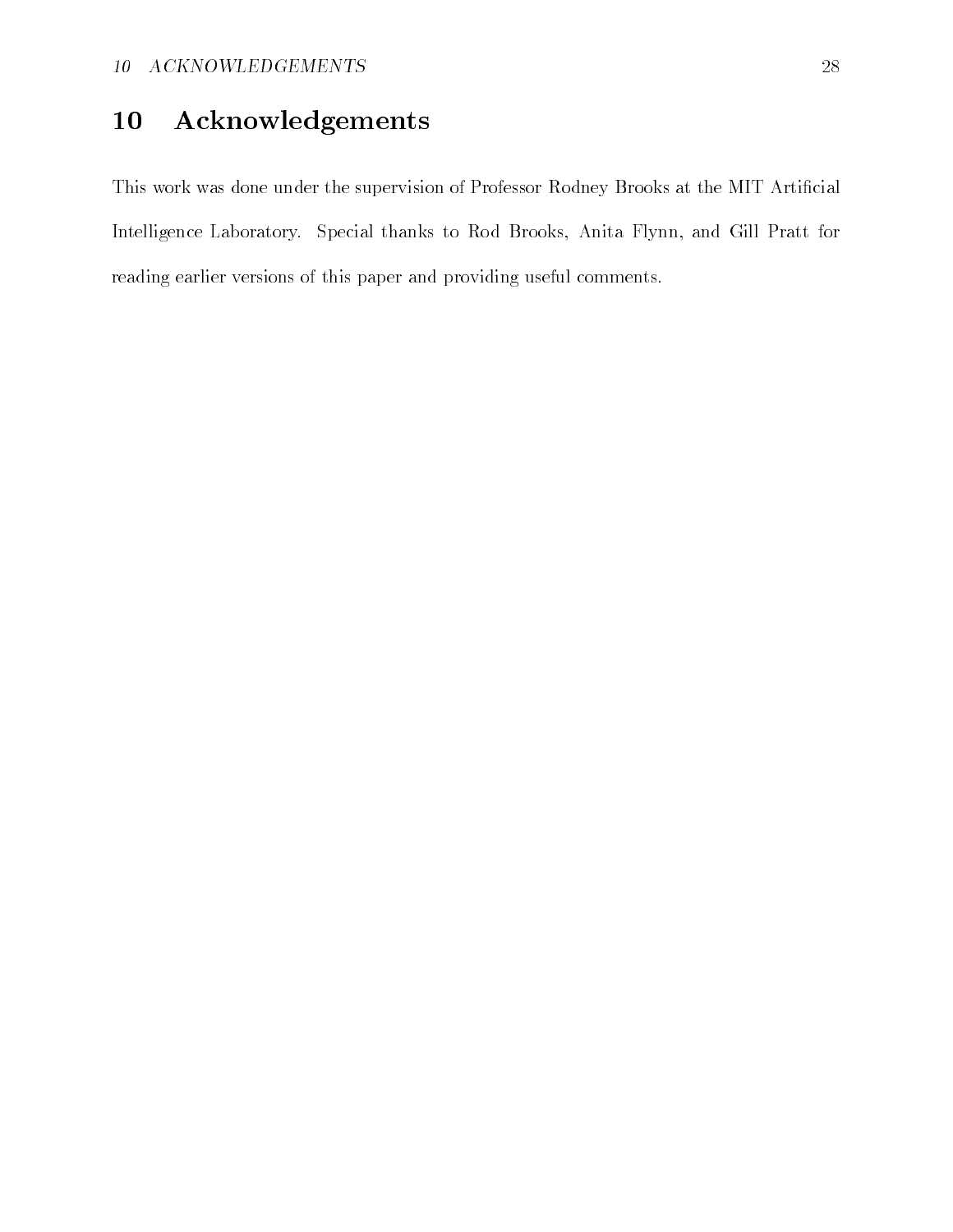# Acknowledgements

This work was done under the supervision of Professor Rodney Brooks at the MIT Artificial Intelligence Laboratory. Special thanks to Rod Brooks, Anita Flynn, and Gill Pratt for reading earlier versions of this paper and providing useful comments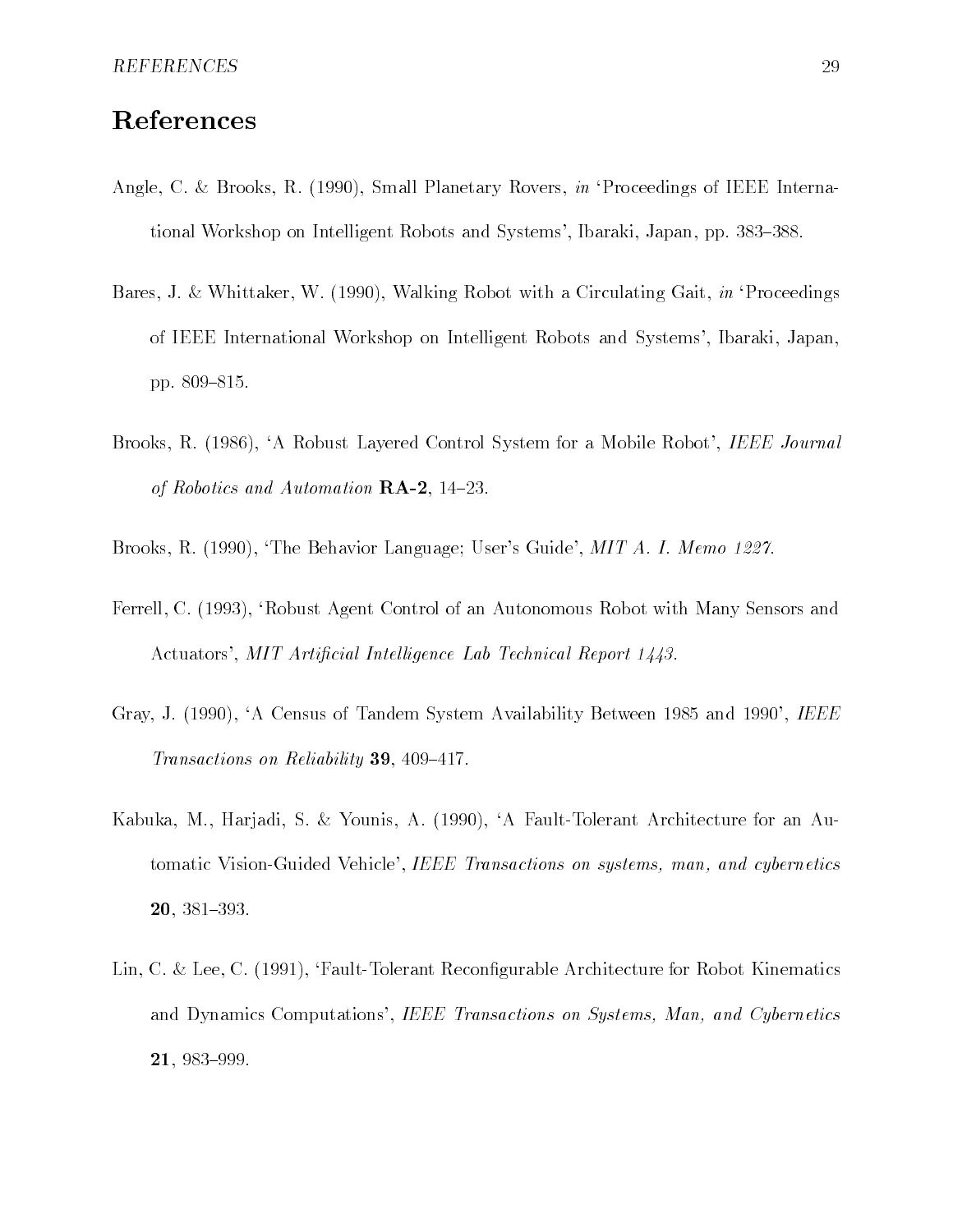## References

- $\mathcal{A}$  and  $\mathcal{A}$  and  $\mathcal{A}$  and  $\mathcal{A}$  is  $\mathcal{A}$  in Proceedings of IEEE internal proceedings of IEEE internal proceedings of IEEE internal proceedings of IEEE internal proceedings of IEEE in Proceedings of IEEE tional Workshop on Intelligent Robots and Systems', Ibaraki, Japan, pp. 383–388.
- Bares J White Walking Robot with a Circulating Countries and Circulating Countries and Circulating Countries of IEEE International Workshop on Intelligent Robots and Systems', Ibaraki, Japan, pp pp. 2010 and 2010 and 2010 and 2010 and 2011 and 2011 and 2011 and 2011 and 2011 and 2011 and 2011
- Brooks, R. (1986), 'A Robust Layered Control System for a Mobile Robot', IEEE Journal of Robotics and Automation RA -
- Brooks R (Brooks), Brooks Brooks Burg A- (1995), The Brooks (1995), December 1997, The Mitchell
- Ferrell, C. (1993), 'Robust Agent Control of an Autonomous Robot with Many Sensors and Actuators', MIT Artificial Intelligence Lab Technical Report 1443.
- Gray J A Census of Tandem System Availability Between  and IEEE Transactions on Reliability, the Secret Secret
- Kabuka M Harjadi S Younis A A FaultTolerant Architecture for an Au tomatic Vision-Guided Vehicle', IEEE Transactions on systems, man, and cybernetics  $20, 381 - 393.$
- Lin, C. & Lee, C.  $(1991)$ , 'Fault-Tolerant Reconfigurable Architecture for Robot Kinematics and Dynamics Computations', IEEE Transactions on Systems, Man, and Cybernetics 21.983-999.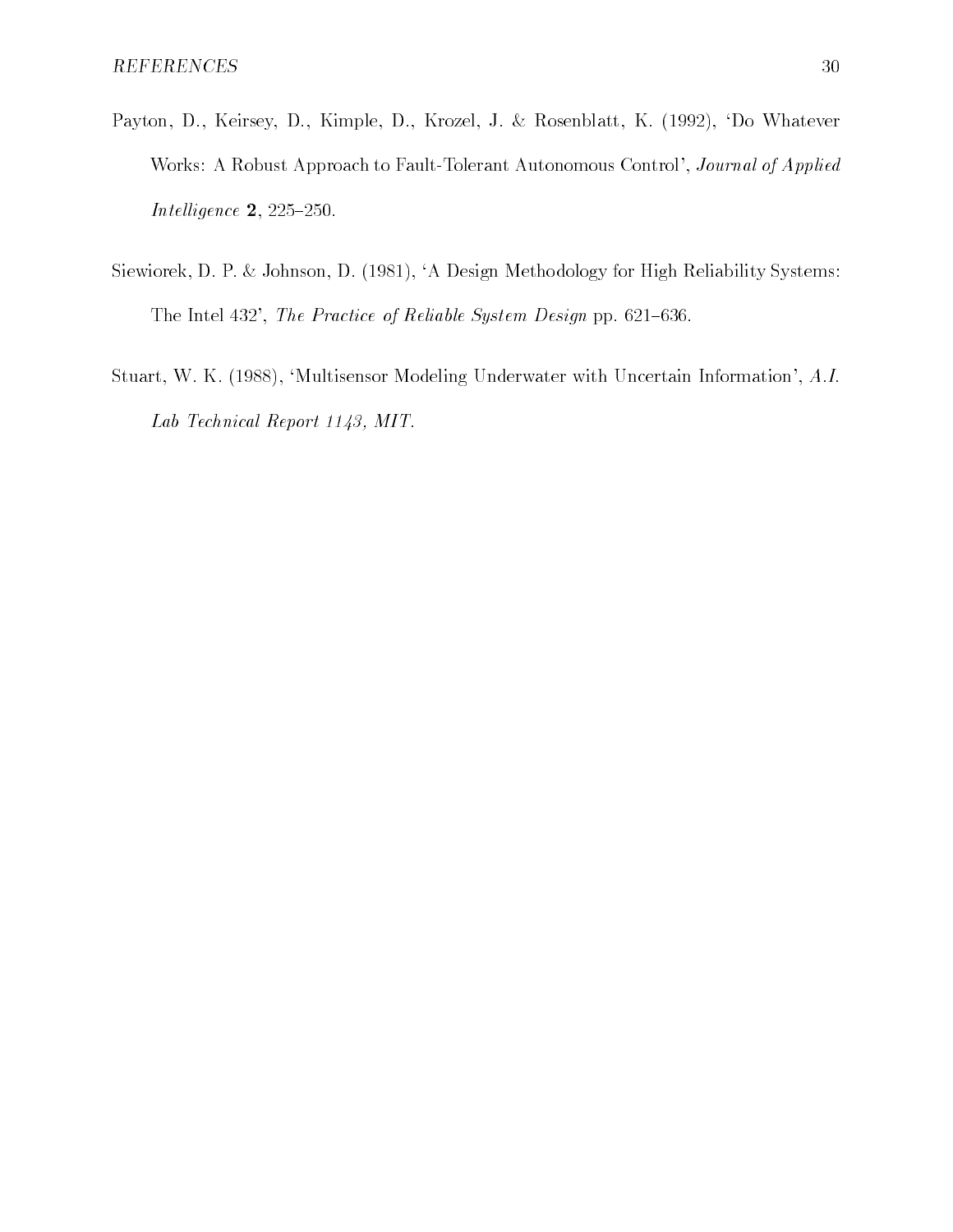- Payton D Keirsey D Kimple D Krozel J Rosenblatt K - Do Whatever Works: A Robust Approach to Fault-Tolerant Autonomous Control', Journal of Applied Intel ligence in the light state of the light state of the light state of the light state of the light state o
- Siewiorek, D. P. & Johnson, D. (1981), 'A Design Methodology for High Reliability Systems: The Intel - The Practice of Reliable System Design pp -
- studies with the studies of the modeling underwater with Information Information Information A-ratio Lab Technical Report  $1143$ , MIT.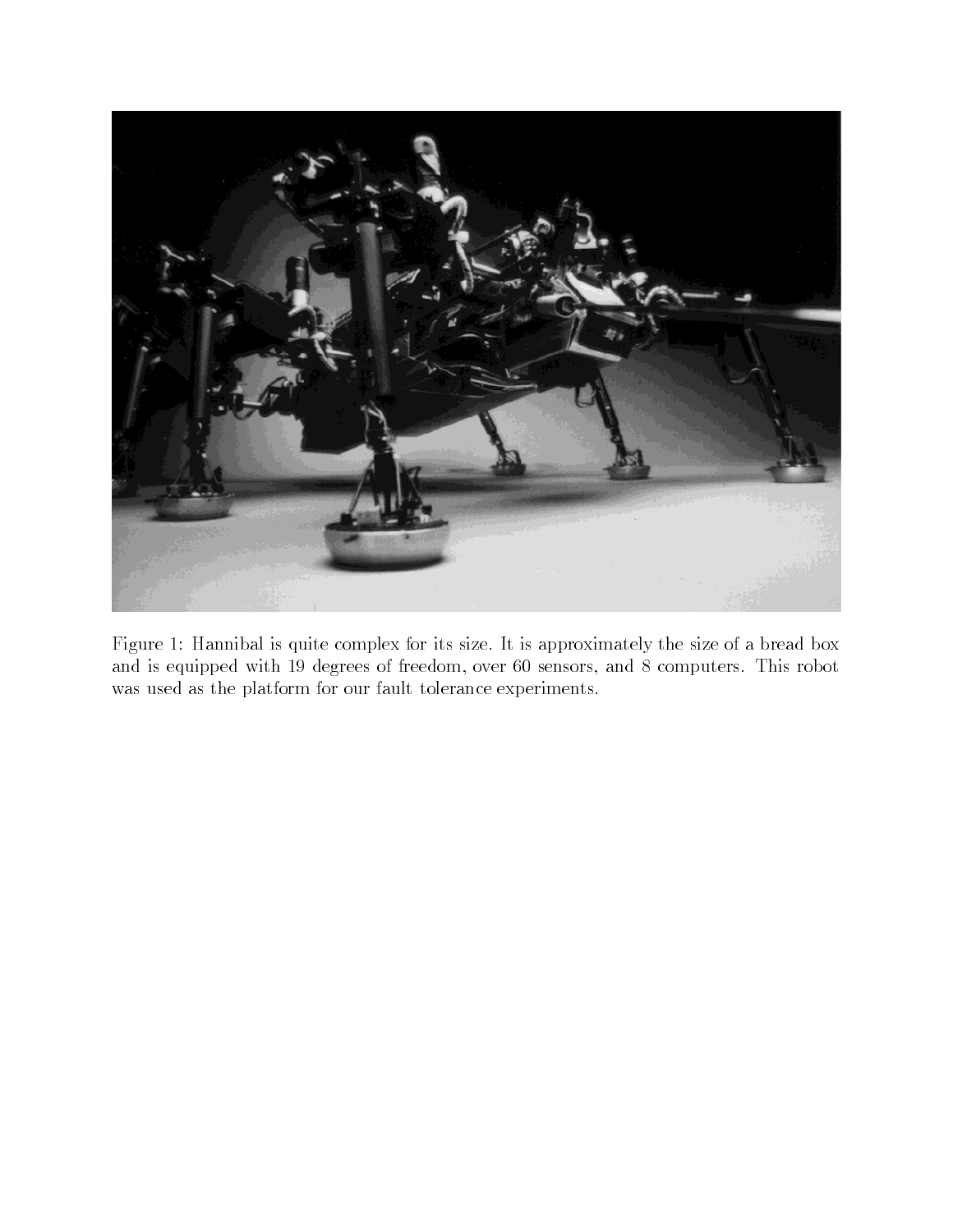

Figure 1: Hannibal is quite complex for its size. It is approximately the size of a bread box and is equipped with  $\mathcal{M}$  and  $\mathcal{M}$  and  $\mathcal{M}$  are degrees of freedom over  $\mathcal{M}$ was used as the platform for our fault tolerance experiments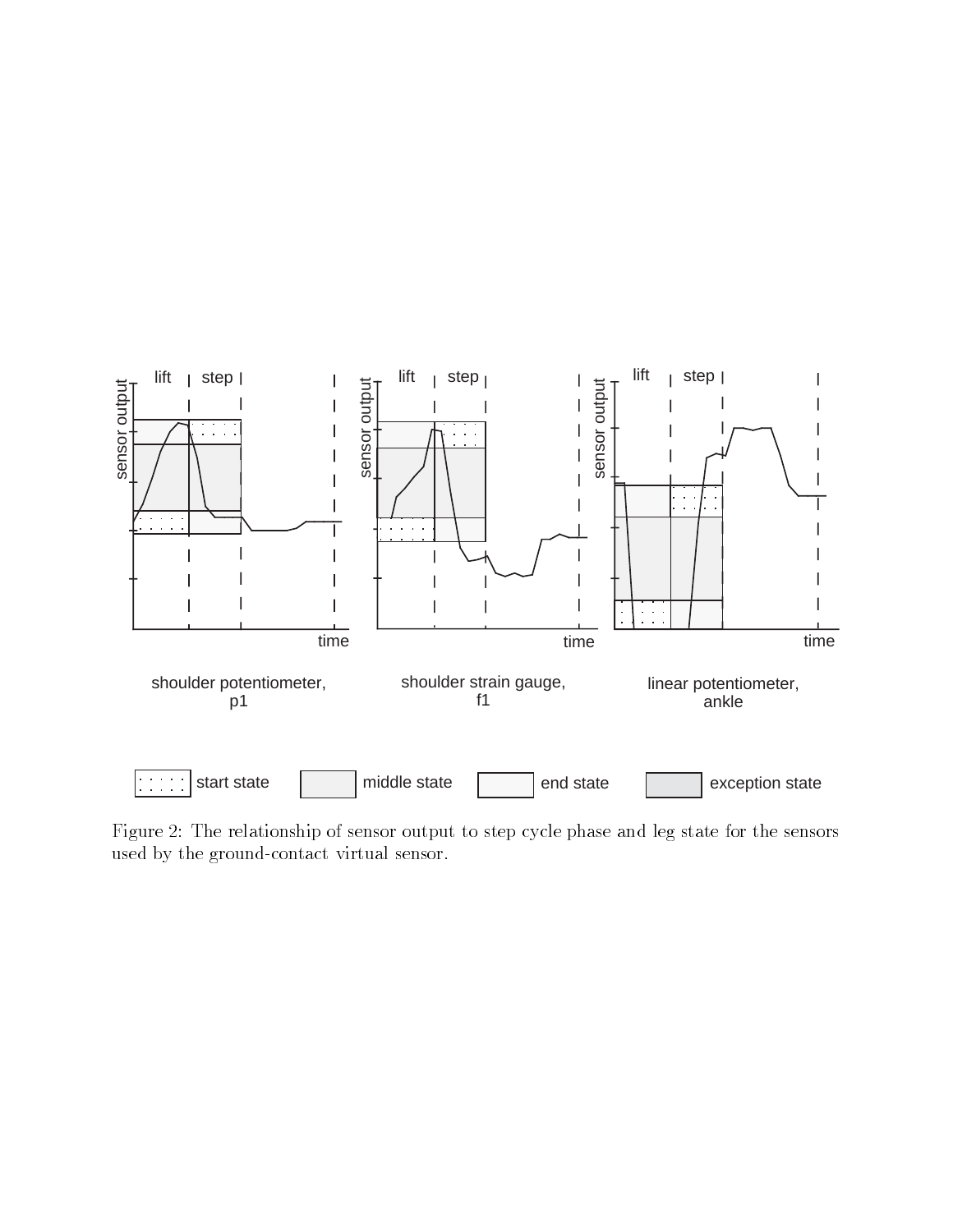

Figure - The relationship of sensor output to step cycle phase and leg state for the sensors used by the ground-contact virtual sensor.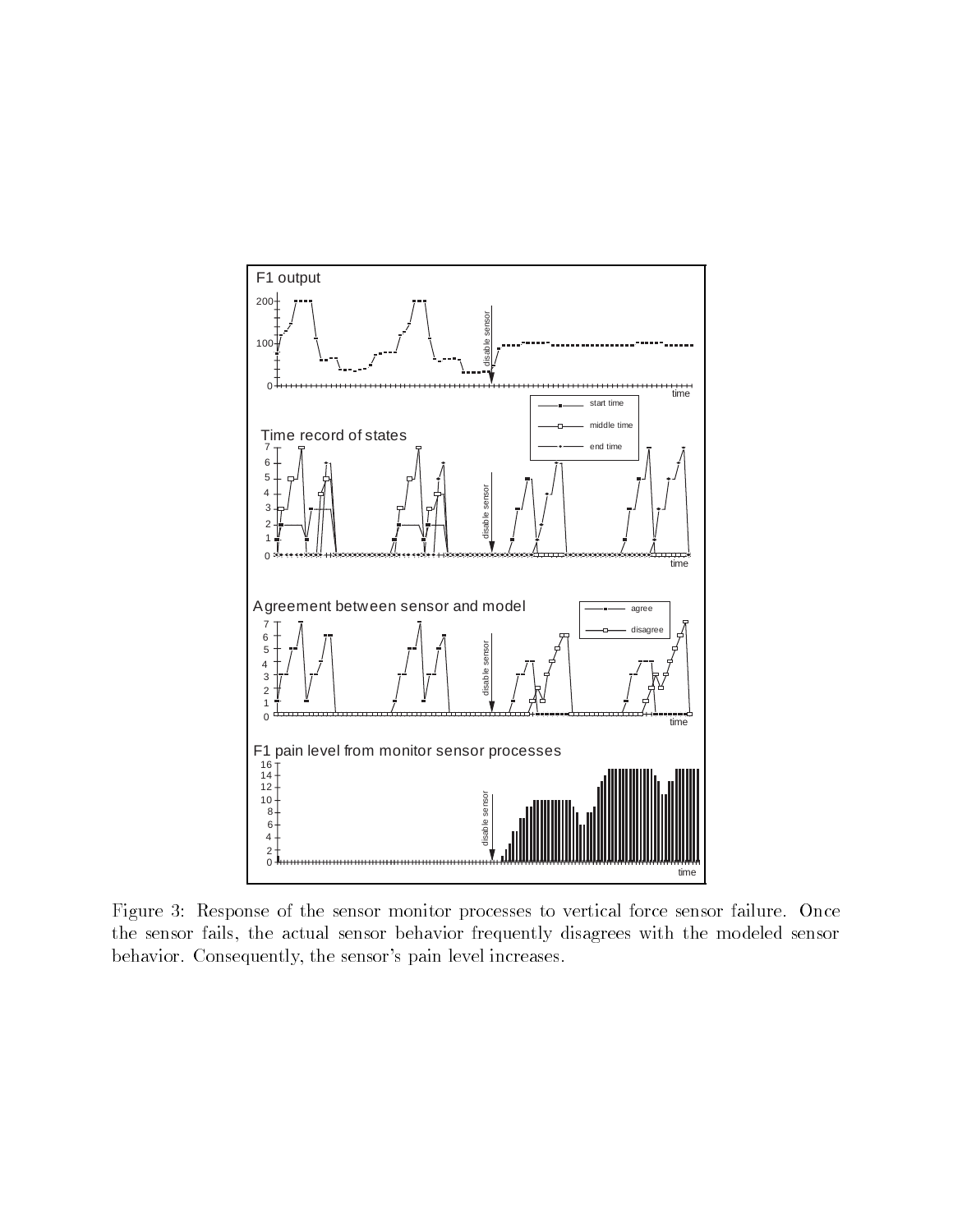

Figure 3: Response of the sensor monitor processes to vertical force sensor failure. Once the sensor fails, the actual sensor behavior frequently disagrees with the modeled sensor behavior. Consequently, the sensor's pain level increases.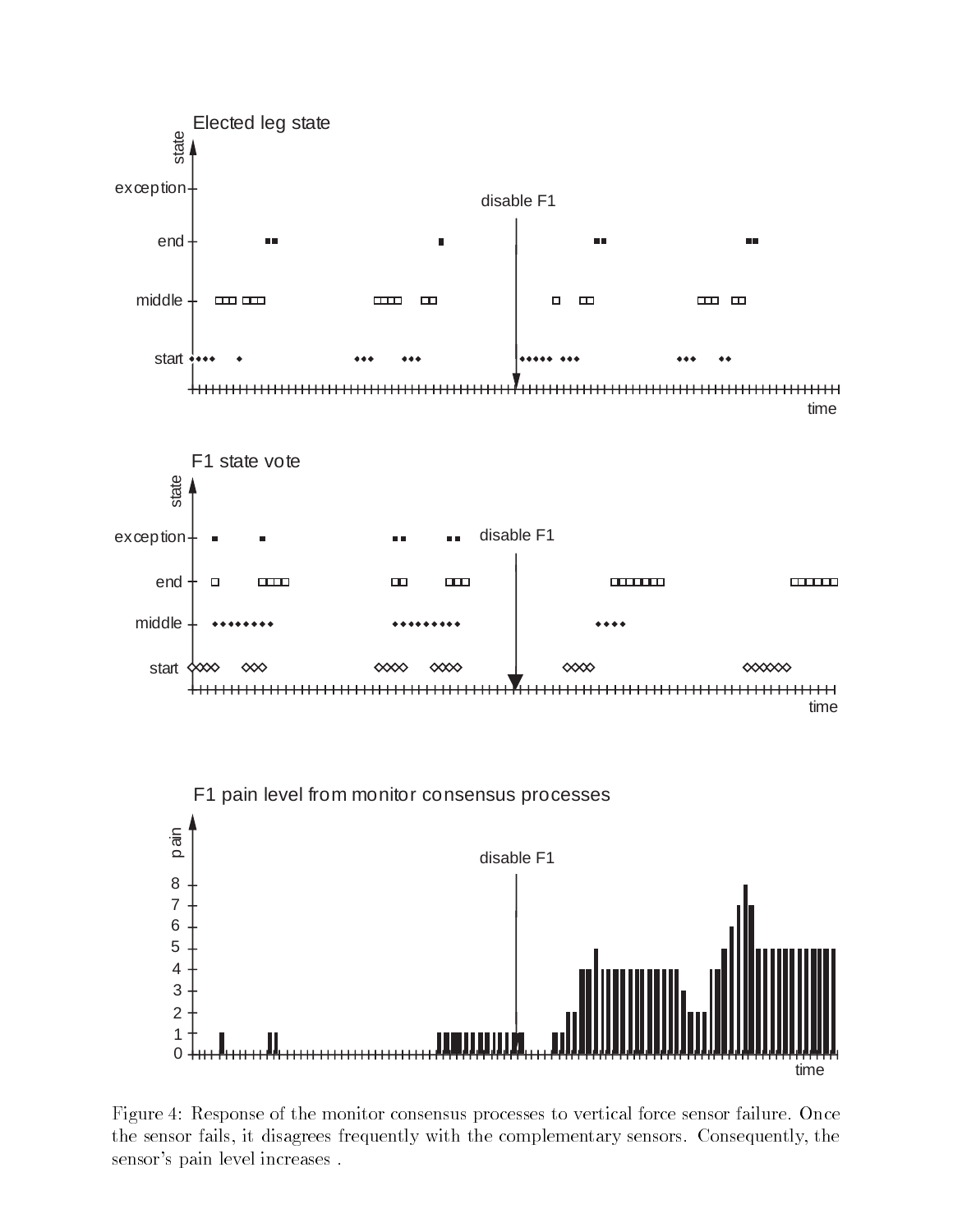

Figure 4: Response of the monitor consensus processes to vertical force sensor failure. Once the sensor fails, it disagrees frequently with the complementary sensors. Consequently, the sensor's pain level increases.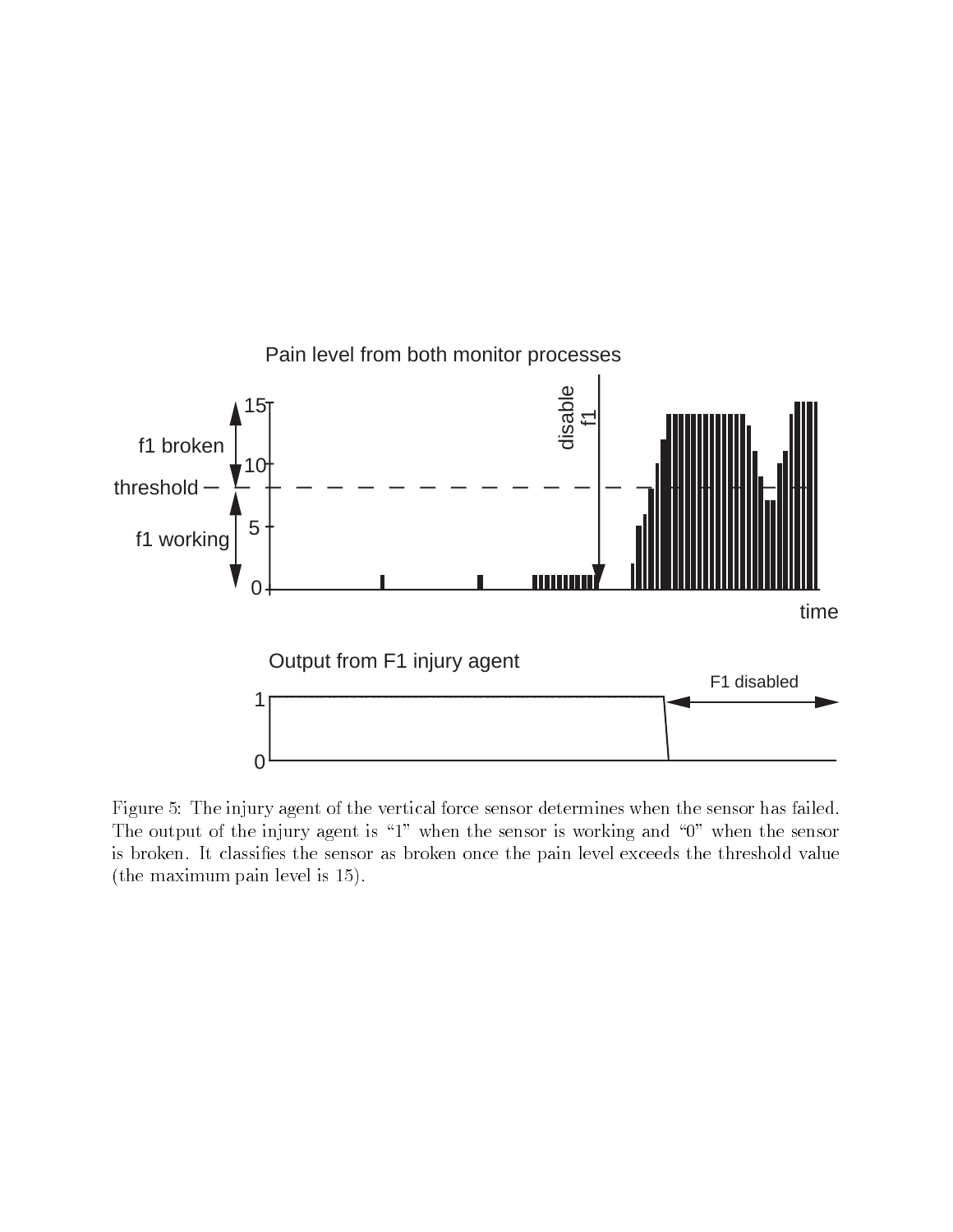

Figure 5: The injury agent of the vertical force sensor determines when the sensor has failed. The output of the injury agent is  $\mathcal{W}$ is broken. It classifies the sensor as broken once the pain level exceeds the threshold value (the maximum pain level is  $15$ ).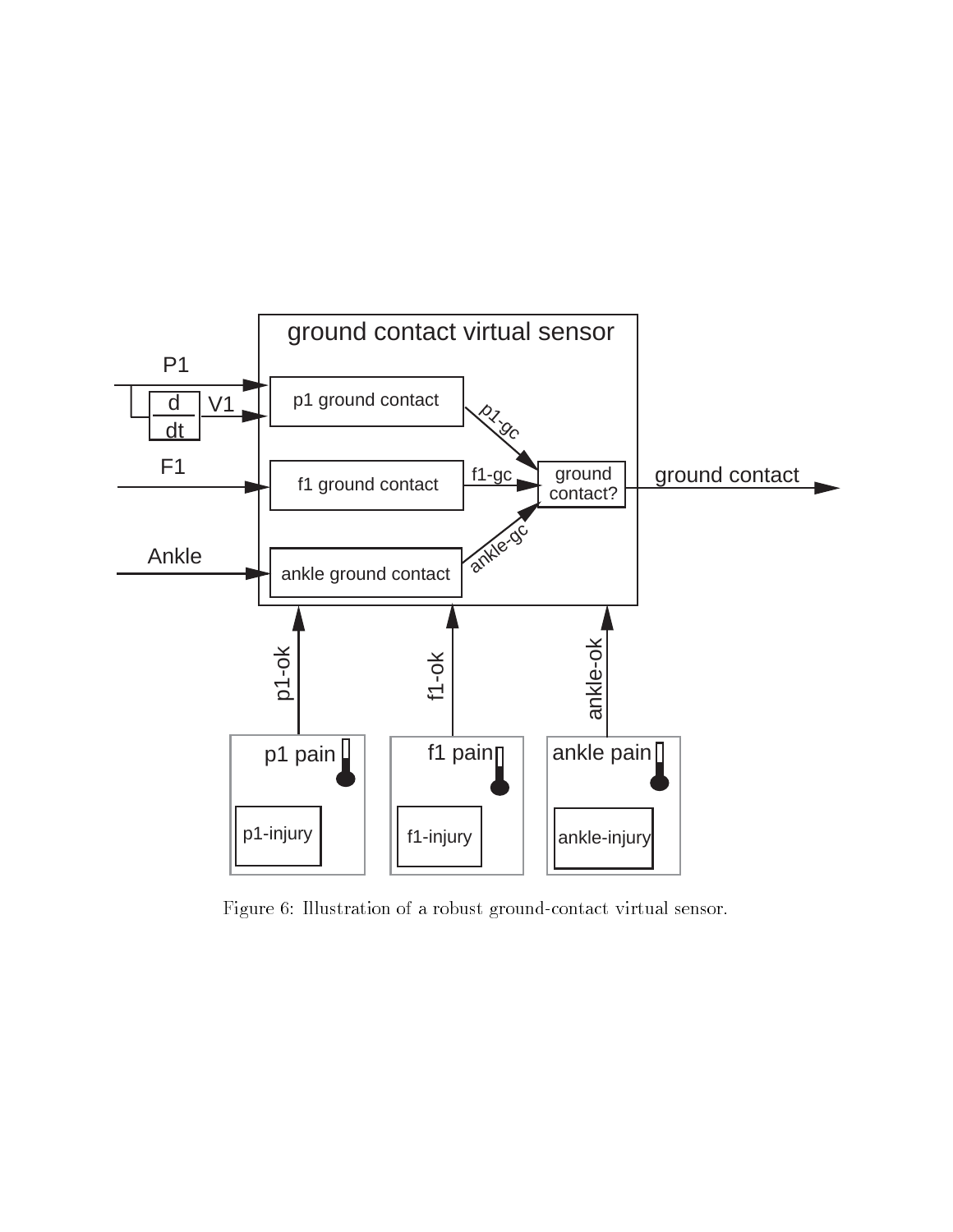

Figure 6: Illustration of a robust ground-contact virtual sensor.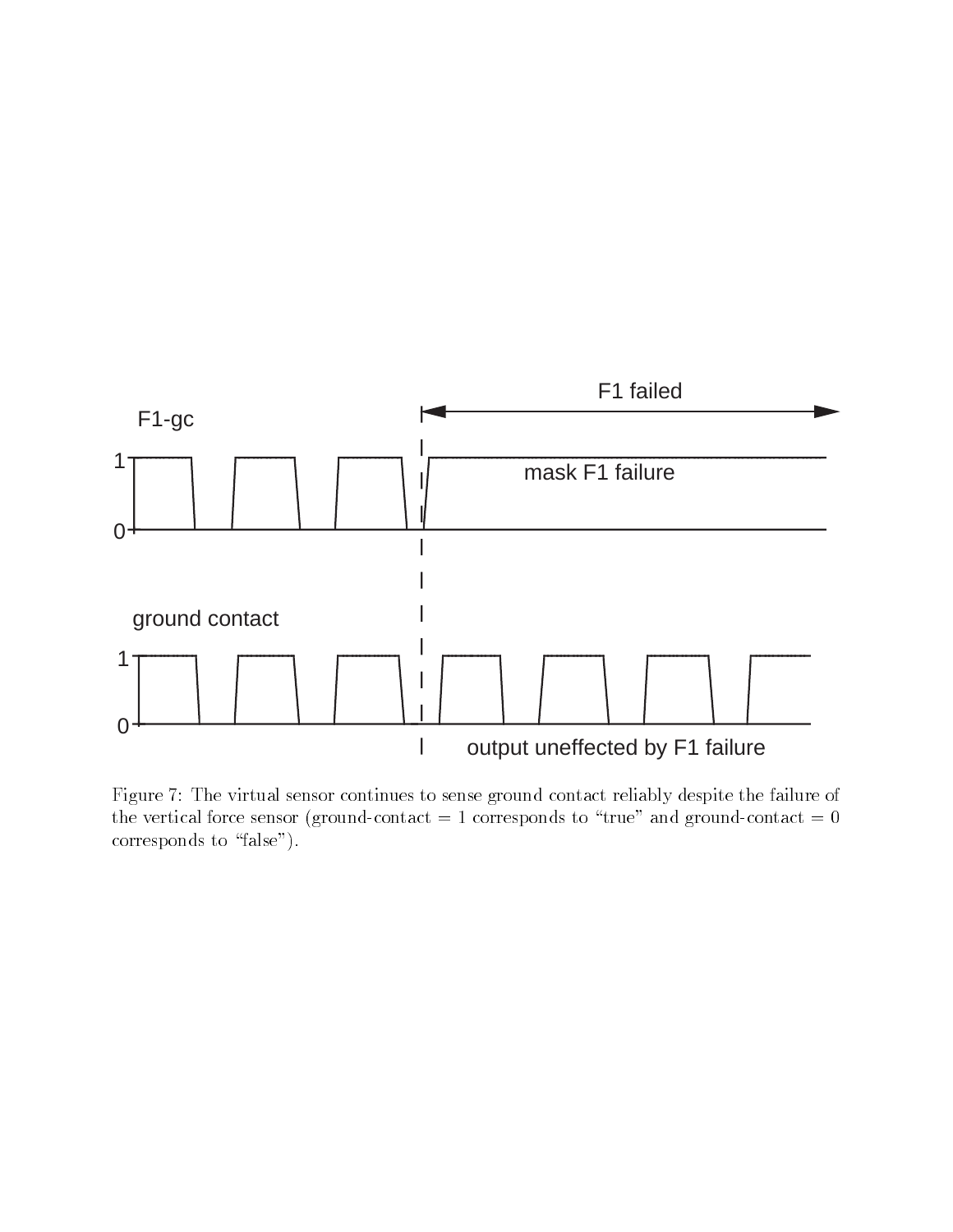

Figure 7: The virtual sensor continues to sense ground contact reliably despite the failure of the vertical force sensor (ground-contact  $= 1$  corresponds to "true" and ground-contact  $= 0$ corresponds to "false").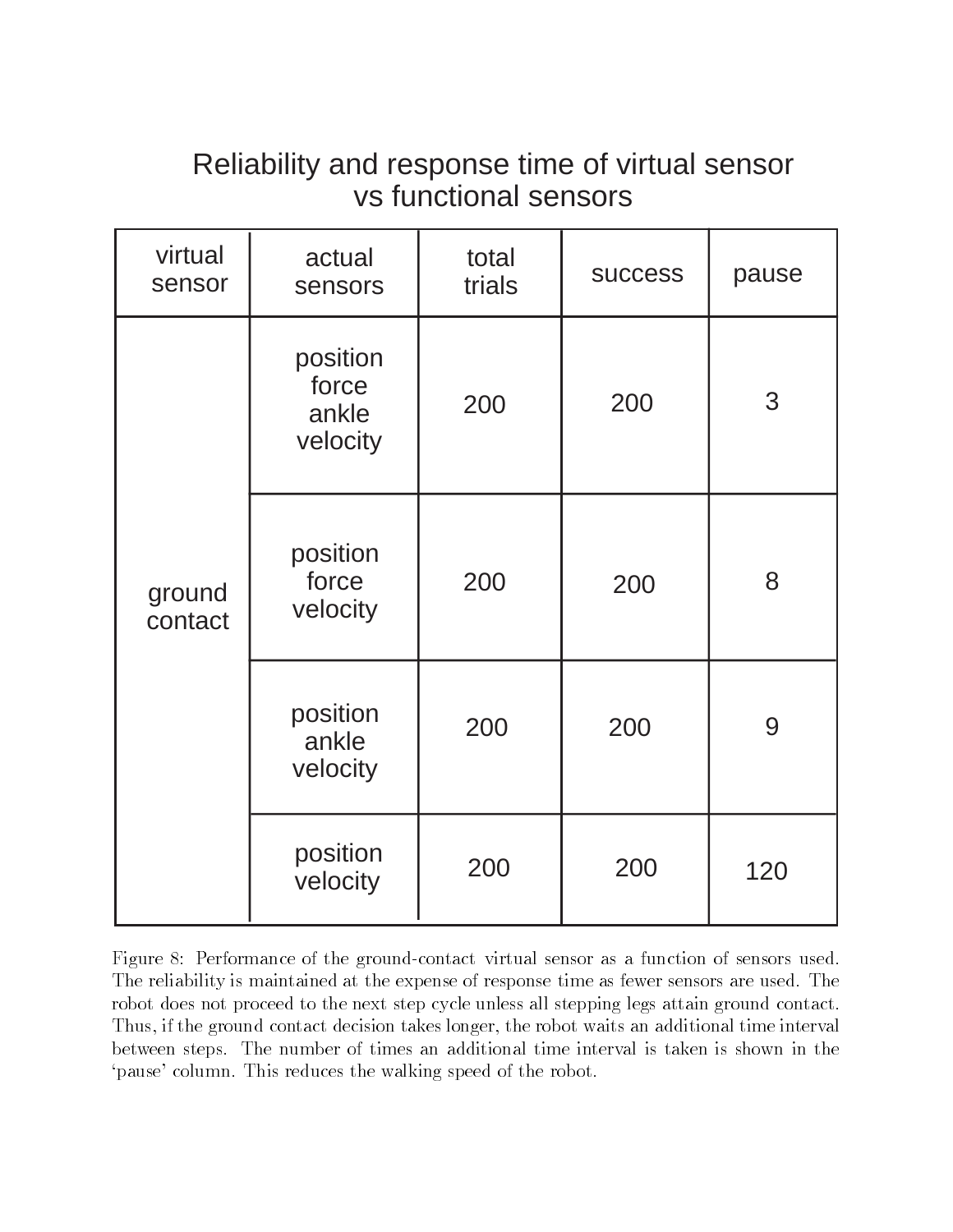# Reliability and response time of virtual sensor vs functional sensors

| virtual<br>sensor | actual<br>sensors                      | total<br>trials | <b>SUCCESS</b> | pause |
|-------------------|----------------------------------------|-----------------|----------------|-------|
| ground<br>contact | position<br>force<br>ankle<br>velocity | 200             | 200            | 3     |
|                   | position<br>force<br>velocity          | 200             | 200            | 8     |
|                   | position<br>ankle<br>velocity          | 200             | 200            | 9     |
|                   | position<br>velocity                   | 200             | 200            | 120   |

Figure 8: Performance of the ground-contact virtual sensor as a function of sensors used. The reliability is maintained at the expense of response time as fewer sensors are used. The robot does not proceed to the next step cycle unless all stepping legs attain ground contact. Thus, if the ground contact decision takes longer, the robot waits an additional time interval between steps The number of times an additional time interval is taken is shown in the 'pause' column. This reduces the walking speed of the robot.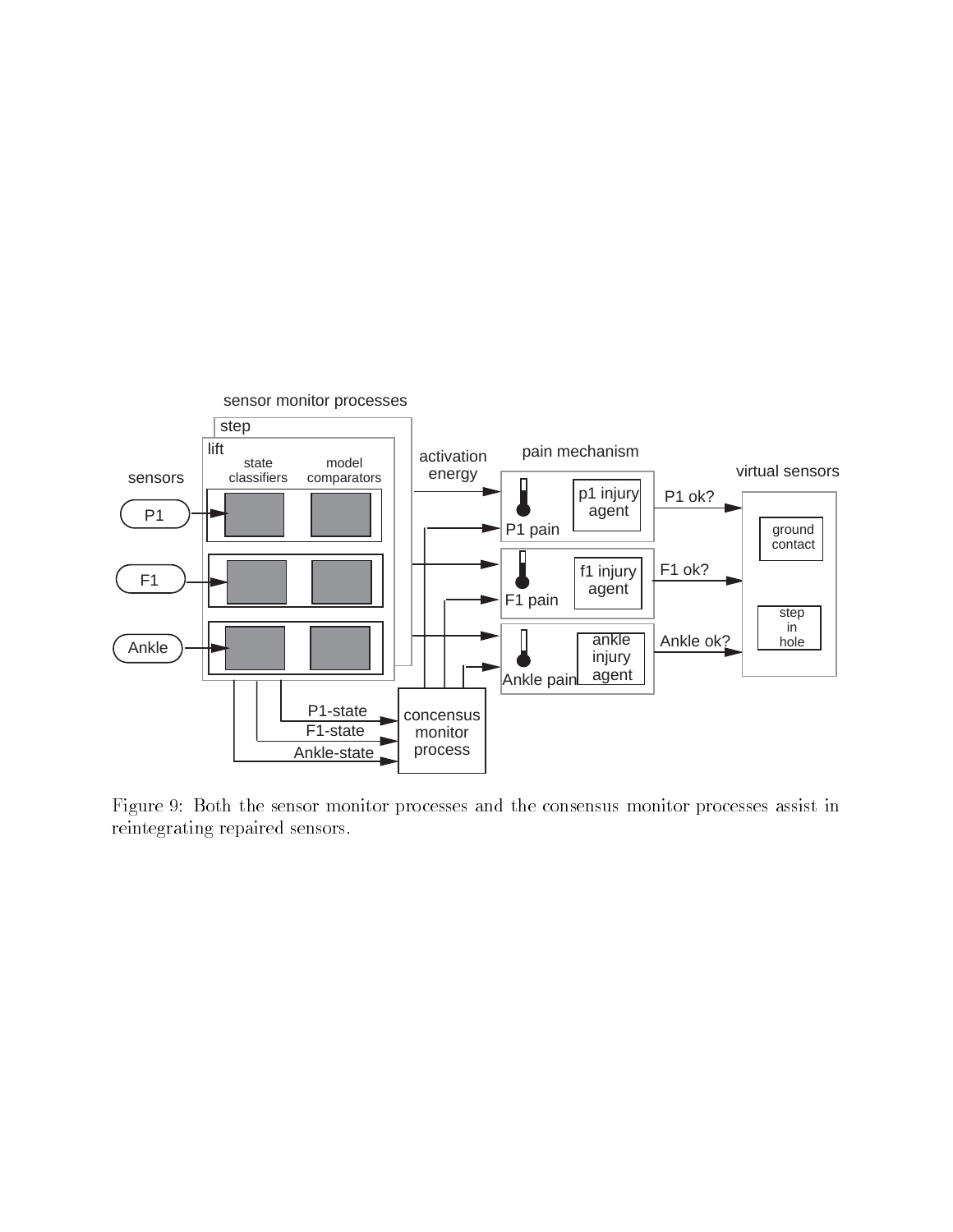

Figure 9: Both the sensor monitor processes and the consensus monitor processes assist in reintegrating repaired sensors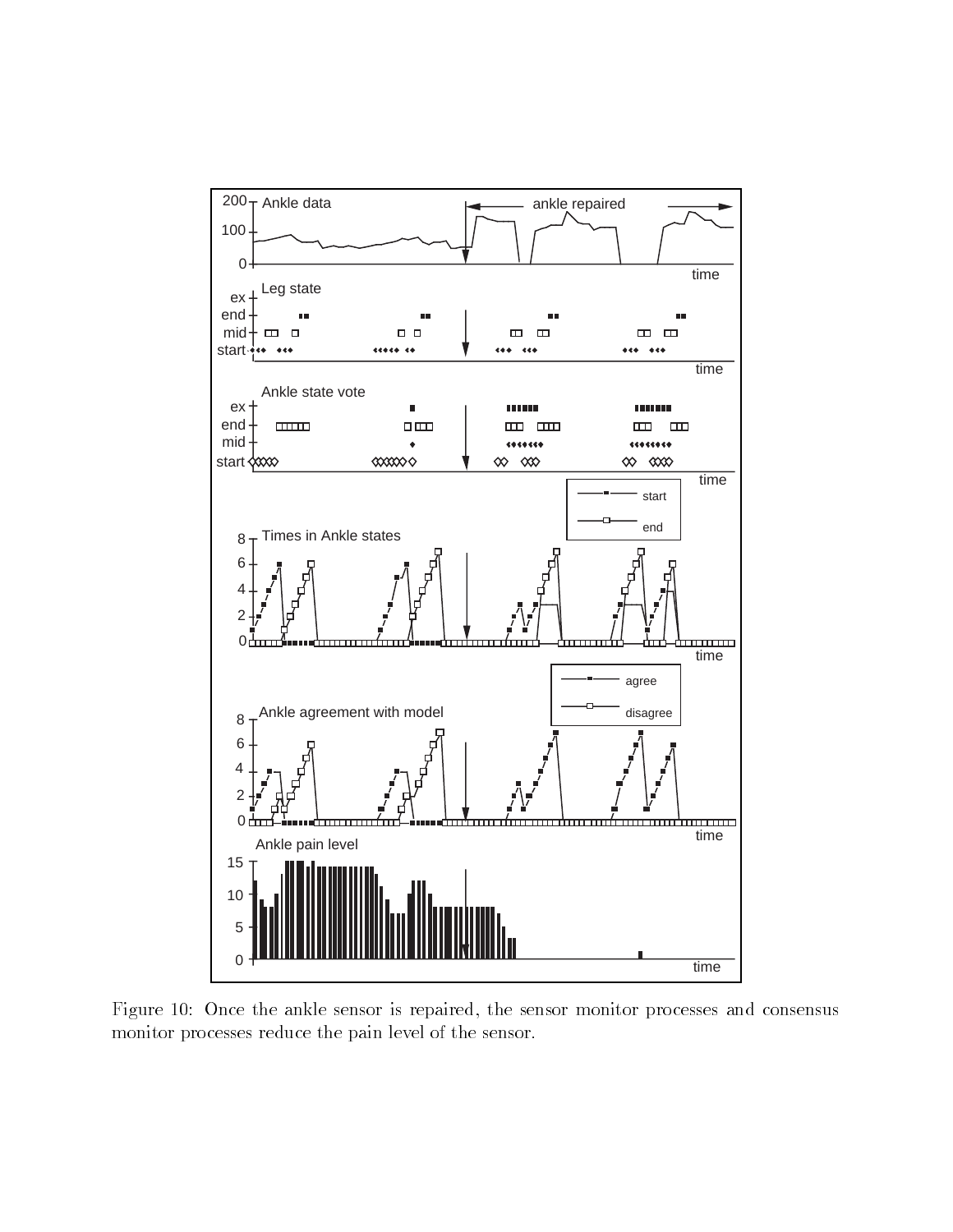

Figure Once the ankle sensor is repaired the sensor monitor processes and consensus monitor processes reduce the pain level of the sensor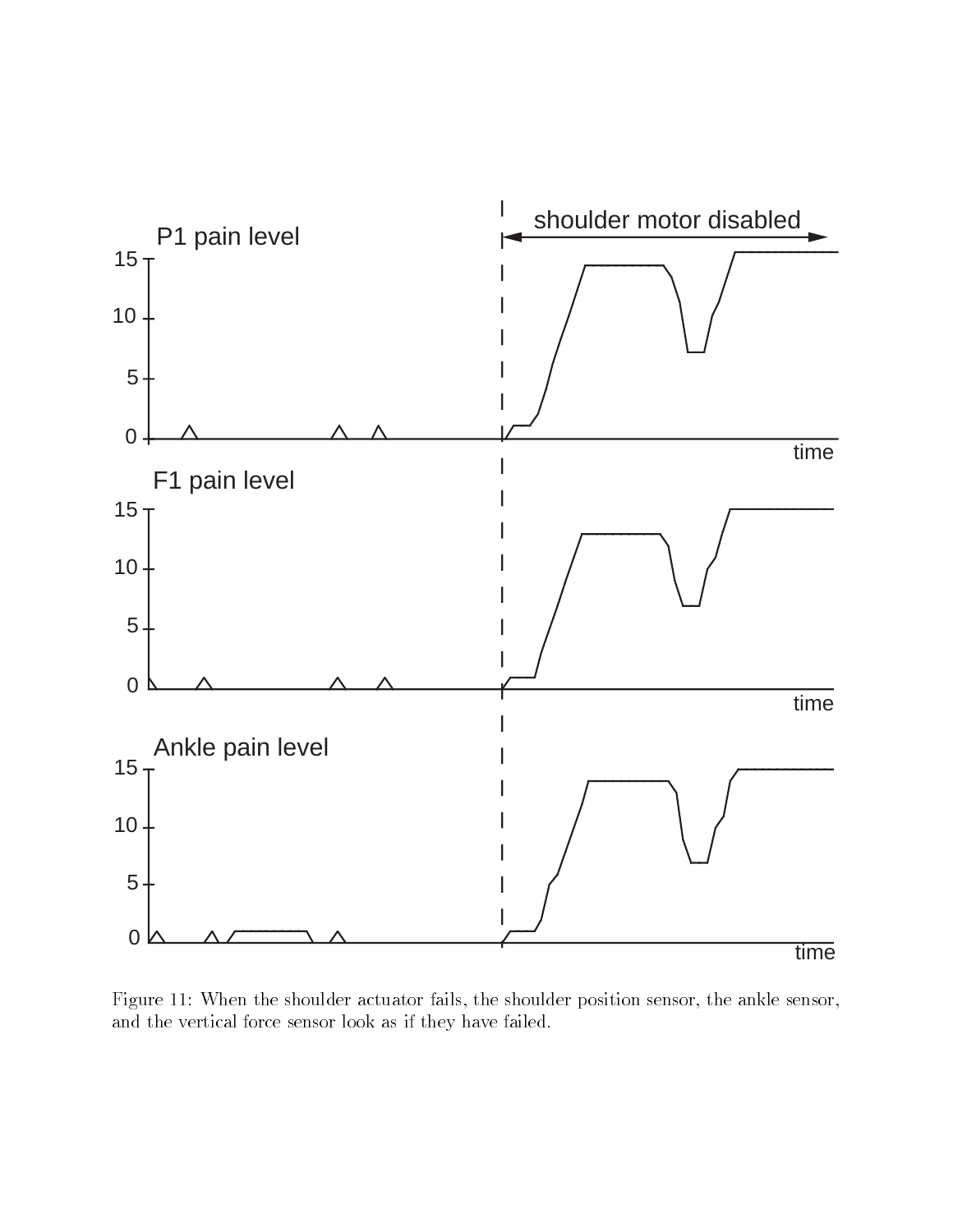

Figure 11: When the shoulder actuator fails, the shoulder position sensor, the ankle sensor, and the vertical force sensor look as if they have failed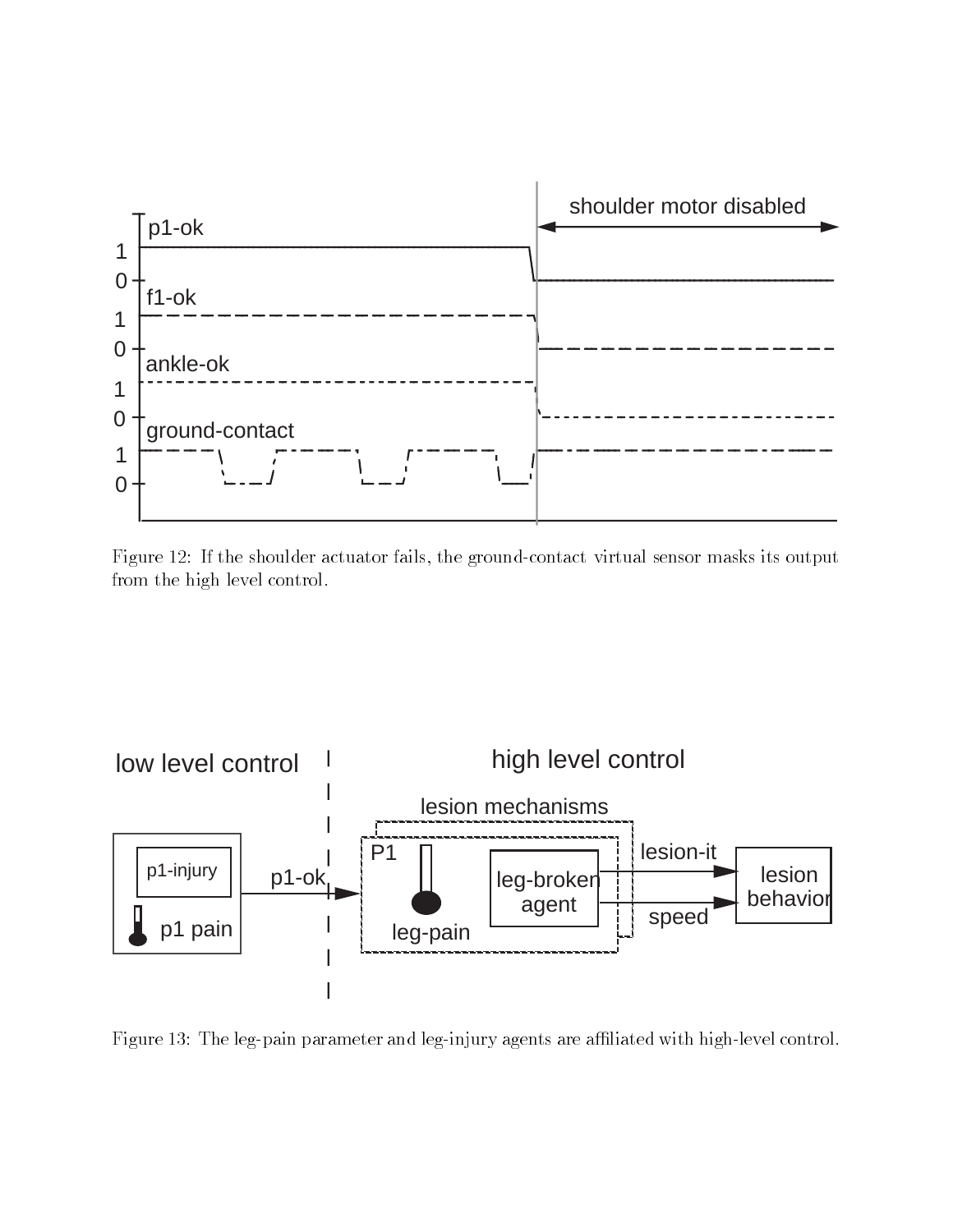

Figure - If the showledge actuator fails the groundcontact virtual sensor masks its output  $\mathbf{f}(\mathbf{A})$ from the high level control



Figure 13: The leg-pain parameter and leg-injury agents are affiliated with high-level control.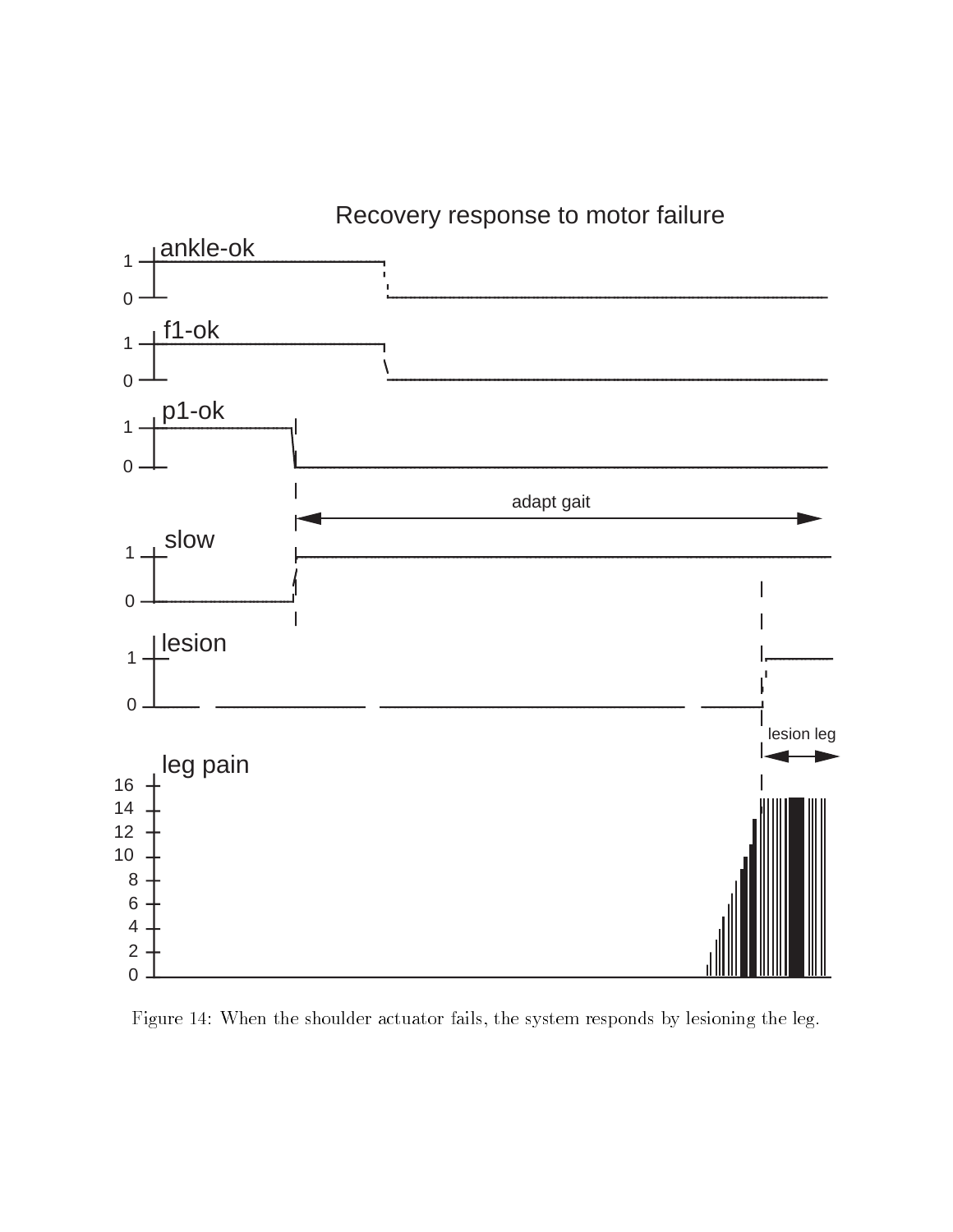

Figure 14: When the shoulder actuator fails, the system responds by lesioning the leg.